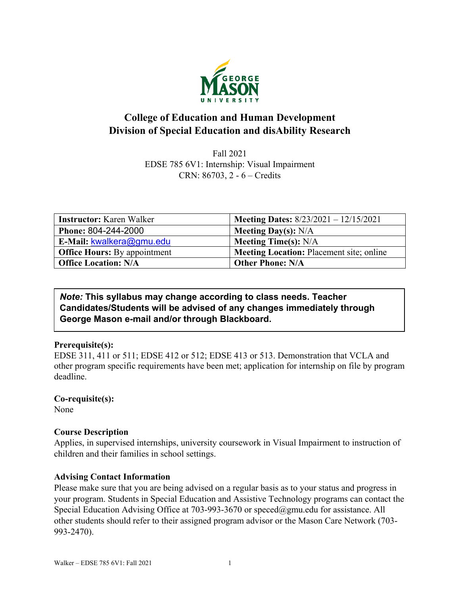

# **College of Education and Human Development Division of Special Education and disAbility Research**

Fall 2021 EDSE 785 6V1: Internship: Visual Impairment CRN: 86703, 2 - 6 – Credits

| <b>Instructor:</b> Karen Walker     | <b>Meeting Dates:</b> 8/23/2021 - 12/15/2021    |
|-------------------------------------|-------------------------------------------------|
| Phone: 804-244-2000                 | <b>Meeting Day(s):</b> $N/A$                    |
| E-Mail: kwalkera@gmu.edu            | <b>Meeting Time(s):</b> $N/A$                   |
| <b>Office Hours:</b> By appointment | <b>Meeting Location: Placement site; online</b> |
| <b>Office Location: N/A</b>         | <b>Other Phone: N/A</b>                         |

## *Note:* **This syllabus may change according to class needs. Teacher Candidates/Students will be advised of any changes immediately through George Mason e-mail and/or through Blackboard.**

## **Prerequisite(s):**

EDSE 311, 411 or 511; EDSE 412 or 512; EDSE 413 or 513. Demonstration that VCLA and other program specific requirements have been met; application for internship on file by program deadline.

## **Co-requisite(s):**

None

# **Course Description**

Applies, in supervised internships, university coursework in Visual Impairment to instruction of children and their families in school settings.

## **Advising Contact Information**

Please make sure that you are being advised on a regular basis as to your status and progress in your program. Students in Special Education and Assistive Technology programs can contact the Special Education Advising Office at 703-993-3670 or [speced@gmu.edu](mailto:speced@gmu.edu) for assistance. All other students should refer to their assigned program advisor or the Mason Care Network (703- 993-2470).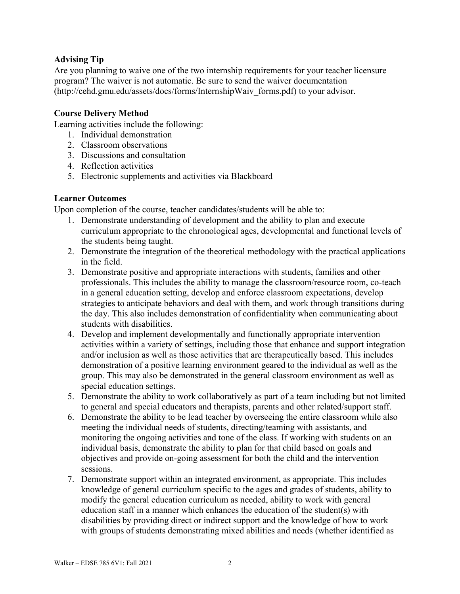### **Advising Tip**

Are you planning to waive one of the two internship requirements for your teacher licensure program? The waiver is not automatic. Be sure to send the waiver documentation (http://cehd.gmu.edu/assets/docs/forms/InternshipWaiv\_forms.pdf) to your advisor.

#### **Course Delivery Method**

Learning activities include the following:

- 1. Individual demonstration
- 2. Classroom observations
- 3. Discussions and consultation
- 4. Reflection activities
- 5. Electronic supplements and activities via Blackboard

#### **Learner Outcomes**

Upon completion of the course, teacher candidates/students will be able to:

- 1. Demonstrate understanding of development and the ability to plan and execute curriculum appropriate to the chronological ages, developmental and functional levels of the students being taught.
- 2. Demonstrate the integration of the theoretical methodology with the practical applications in the field.
- 3. Demonstrate positive and appropriate interactions with students, families and other professionals. This includes the ability to manage the classroom/resource room, co-teach in a general education setting, develop and enforce classroom expectations, develop strategies to anticipate behaviors and deal with them, and work through transitions during the day. This also includes demonstration of confidentiality when communicating about students with disabilities.
- 4. Develop and implement developmentally and functionally appropriate intervention activities within a variety of settings, including those that enhance and support integration and/or inclusion as well as those activities that are therapeutically based. This includes demonstration of a positive learning environment geared to the individual as well as the group. This may also be demonstrated in the general classroom environment as well as special education settings.
- 5. Demonstrate the ability to work collaboratively as part of a team including but not limited to general and special educators and therapists, parents and other related/support staff.
- 6. Demonstrate the ability to be lead teacher by overseeing the entire classroom while also meeting the individual needs of students, directing/teaming with assistants, and monitoring the ongoing activities and tone of the class. If working with students on an individual basis, demonstrate the ability to plan for that child based on goals and objectives and provide on-going assessment for both the child and the intervention sessions.
- 7. Demonstrate support within an integrated environment, as appropriate. This includes knowledge of general curriculum specific to the ages and grades of students, ability to modify the general education curriculum as needed, ability to work with general education staff in a manner which enhances the education of the student(s) with disabilities by providing direct or indirect support and the knowledge of how to work with groups of students demonstrating mixed abilities and needs (whether identified as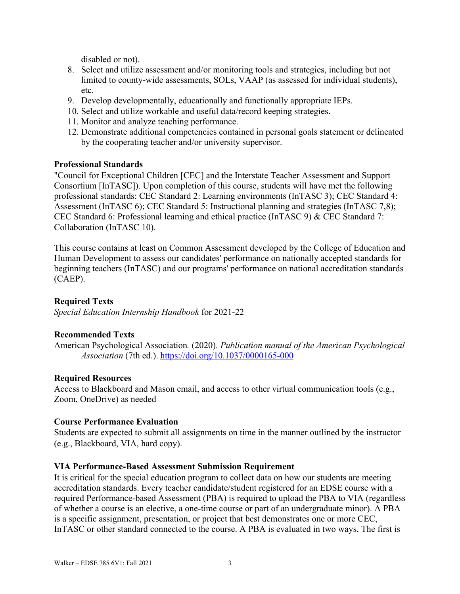disabled or not).

- 8. Select and utilize assessment and/or monitoring tools and strategies, including but not limited to county-wide assessments, SOLs, VAAP (as assessed for individual students), etc.
- 9. Develop developmentally, educationally and functionally appropriate IEPs.
- 10. Select and utilize workable and useful data/record keeping strategies.
- 11. Monitor and analyze teaching performance.
- 12. Demonstrate additional competencies contained in personal goals statement or delineated by the cooperating teacher and/or university supervisor.

#### **Professional Standards**

"Council for Exceptional Children [CEC] and the Interstate Teacher Assessment and Support Consortium [InTASC]). Upon completion of this course, students will have met the following professional standards: CEC Standard 2: Learning environments (InTASC 3); CEC Standard 4: Assessment (InTASC 6); CEC Standard 5: Instructional planning and strategies (InTASC 7,8); CEC Standard 6: Professional learning and ethical practice (InTASC 9) & CEC Standard 7: Collaboration (InTASC 10).

This course contains at least on Common Assessment developed by the College of Education and Human Development to assess our candidates' performance on nationally accepted standards for beginning teachers (InTASC) and our programs' performance on national accreditation standards (CAEP).

## **Required Texts**

*Special Education Internship Handbook* for 2021-22

#### **Recommended Texts**

American Psychological Association*.* (2020). *Publication manual of the American Psychological Association* (7th ed.). <https://doi.org/10.1037/0000165-000>

#### **Required Resources**

Access to Blackboard and Mason email, and access to other virtual communication tools (e.g., Zoom, OneDrive) as needed

#### **Course Performance Evaluation**

Students are expected to submit all assignments on time in the manner outlined by the instructor (e.g., Blackboard, VIA, hard copy).

#### **VIA Performance-Based Assessment Submission Requirement**

It is critical for the special education program to collect data on how our students are meeting accreditation standards. Every teacher candidate/student registered for an EDSE course with a required Performance-based Assessment (PBA) is required to upload the PBA to VIA (regardless of whether a course is an elective, a one-time course or part of an undergraduate minor). A PBA is a specific assignment, presentation, or project that best demonstrates one or more CEC, InTASC or other standard connected to the course. A PBA is evaluated in two ways. The first is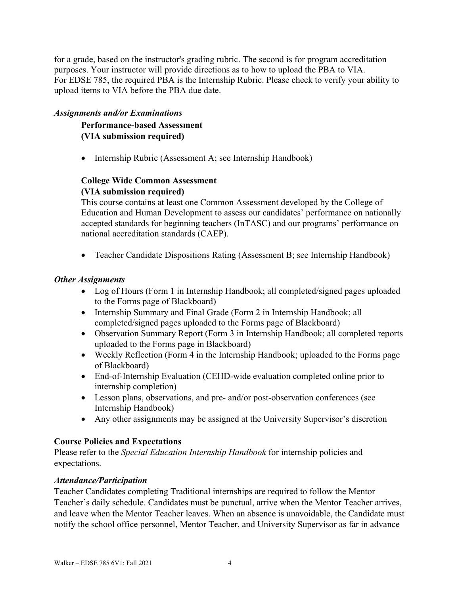for a grade, based on the instructor's grading rubric. The second is for program accreditation purposes. Your instructor will provide directions as to how to upload the PBA to VIA. For EDSE 785, the required PBA is the Internship Rubric. Please check to verify your ability to upload items to VIA before the PBA due date.

#### *Assignments and/or Examinations*

**Performance-based Assessment (VIA submission required)**

• Internship Rubric (Assessment A; see Internship Handbook)

## **College Wide Common Assessment (VIA submission required)**

This course contains at least one Common Assessment developed by the College of Education and Human Development to assess our candidates' performance on nationally accepted standards for beginning teachers (InTASC) and our programs' performance on national accreditation standards (CAEP).

• Teacher Candidate Dispositions Rating (Assessment B; see Internship Handbook)

## *Other Assignments*

- Log of Hours (Form 1 in Internship Handbook; all completed/signed pages uploaded to the Forms page of Blackboard)
- Internship Summary and Final Grade (Form 2 in Internship Handbook; all completed/signed pages uploaded to the Forms page of Blackboard)
- Observation Summary Report (Form 3 in Internship Handbook; all completed reports uploaded to the Forms page in Blackboard)
- Weekly Reflection (Form 4 in the Internship Handbook; uploaded to the Forms page of Blackboard)
- End-of-Internship Evaluation (CEHD-wide evaluation completed online prior to internship completion)
- Lesson plans, observations, and pre- and/or post-observation conferences (see Internship Handbook)
- Any other assignments may be assigned at the University Supervisor's discretion

# **Course Policies and Expectations**

Please refer to the *Special Education Internship Handbook* for internship policies and expectations.

## *Attendance/Participation*

Teacher Candidates completing Traditional internships are required to follow the Mentor Teacher's daily schedule. Candidates must be punctual, arrive when the Mentor Teacher arrives, and leave when the Mentor Teacher leaves. When an absence is unavoidable, the Candidate must notify the school office personnel, Mentor Teacher, and University Supervisor as far in advance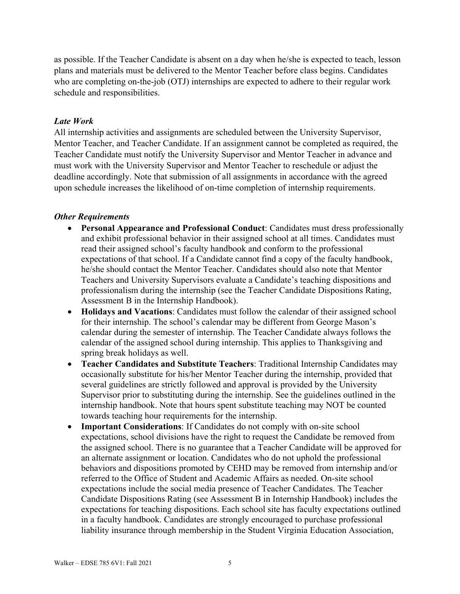as possible. If the Teacher Candidate is absent on a day when he/she is expected to teach, lesson plans and materials must be delivered to the Mentor Teacher before class begins. Candidates who are completing on-the-job (OTJ) internships are expected to adhere to their regular work schedule and responsibilities.

#### *Late Work*

All internship activities and assignments are scheduled between the University Supervisor, Mentor Teacher, and Teacher Candidate. If an assignment cannot be completed as required, the Teacher Candidate must notify the University Supervisor and Mentor Teacher in advance and must work with the University Supervisor and Mentor Teacher to reschedule or adjust the deadline accordingly. Note that submission of all assignments in accordance with the agreed upon schedule increases the likelihood of on-time completion of internship requirements.

#### *Other Requirements*

- **Personal Appearance and Professional Conduct**: Candidates must dress professionally and exhibit professional behavior in their assigned school at all times. Candidates must read their assigned school's faculty handbook and conform to the professional expectations of that school. If a Candidate cannot find a copy of the faculty handbook, he/she should contact the Mentor Teacher. Candidates should also note that Mentor Teachers and University Supervisors evaluate a Candidate's teaching dispositions and professionalism during the internship (see the Teacher Candidate Dispositions Rating, Assessment B in the Internship Handbook).
- **Holidays and Vacations**: Candidates must follow the calendar of their assigned school for their internship. The school's calendar may be different from George Mason's calendar during the semester of internship. The Teacher Candidate always follows the calendar of the assigned school during internship. This applies to Thanksgiving and spring break holidays as well.
- **Teacher Candidates and Substitute Teachers**: Traditional Internship Candidates may occasionally substitute for his/her Mentor Teacher during the internship, provided that several guidelines are strictly followed and approval is provided by the University Supervisor prior to substituting during the internship. See the guidelines outlined in the internship handbook. Note that hours spent substitute teaching may NOT be counted towards teaching hour requirements for the internship.
- **Important Considerations**: If Candidates do not comply with on-site school expectations, school divisions have the right to request the Candidate be removed from the assigned school. There is no guarantee that a Teacher Candidate will be approved for an alternate assignment or location. Candidates who do not uphold the professional behaviors and dispositions promoted by CEHD may be removed from internship and/or referred to the Office of Student and Academic Affairs as needed. On-site school expectations include the social media presence of Teacher Candidates. The Teacher Candidate Dispositions Rating (see Assessment B in Internship Handbook) includes the expectations for teaching dispositions. Each school site has faculty expectations outlined in a faculty handbook. Candidates are strongly encouraged to purchase professional liability insurance through membership in the Student Virginia Education Association,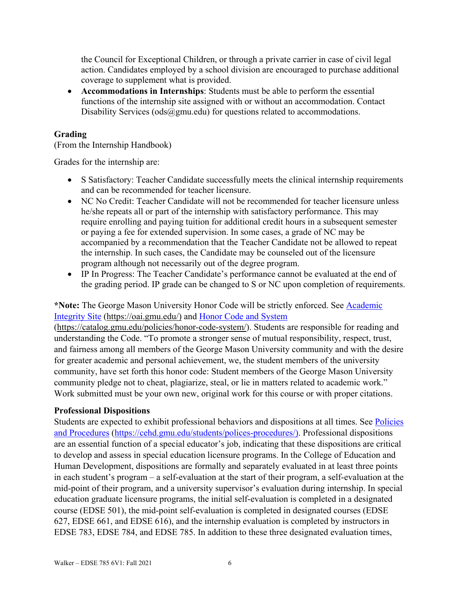the Council for Exceptional Children, or through a private carrier in case of civil legal action. Candidates employed by a school division are encouraged to purchase additional coverage to supplement what is provided.

• **Accommodations in Internships**: Students must be able to perform the essential functions of the internship site assigned with or without an accommodation. Contact Disability Services ( $\text{ods}(\widehat{\omega})$ gmu.edu) for questions related to accommodations.

## **Grading**

(From the Internship Handbook)

Grades for the internship are:

- S Satisfactory: Teacher Candidate successfully meets the clinical internship requirements and can be recommended for teacher licensure.
- NC No Credit: Teacher Candidate will not be recommended for teacher licensure unless he/she repeats all or part of the internship with satisfactory performance. This may require enrolling and paying tuition for additional credit hours in a subsequent semester or paying a fee for extended supervision. In some cases, a grade of NC may be accompanied by a recommendation that the Teacher Candidate not be allowed to repeat the internship. In such cases, the Candidate may be counseled out of the licensure program although not necessarily out of the degree program.
- IP In Progress: The Teacher Candidate's performance cannot be evaluated at the end of the grading period. IP grade can be changed to S or NC upon completion of requirements.

## **\*Note:** The George Mason University Honor Code will be strictly enforced. See [Academic](https://oai.gmu.edu/)  [Integrity Site](https://oai.gmu.edu/) [\(https://oai.gmu.edu/\)](https://oai.gmu.edu/) and [Honor Code and System](https://catalog.gmu.edu/policies/honor-code-system/)

[\(https://catalog.gmu.edu/policies/honor-code-system/\)](https://catalog.gmu.edu/policies/honor-code-system/). Students are responsible for reading and understanding the Code. "To promote a stronger sense of mutual responsibility, respect, trust, and fairness among all members of the George Mason University community and with the desire for greater academic and personal achievement, we, the student members of the university community, have set forth this honor code: Student members of the George Mason University community pledge not to cheat, plagiarize, steal, or lie in matters related to academic work." Work submitted must be your own new, original work for this course or with proper citations.

## **Professional Dispositions**

Students are expected to exhibit professional behaviors and dispositions at all times. See [Policies](https://cehd.gmu.edu/students/polices-procedures/)  [and Procedures](https://cehd.gmu.edu/students/polices-procedures/) [\(https://cehd.gmu.edu/students/polices-procedures/\)](https://cehd.gmu.edu/students/polices-procedures/). Professional dispositions are an essential function of a special educator's job, indicating that these dispositions are critical to develop and assess in special education licensure programs. In the College of Education and Human Development, dispositions are formally and separately evaluated in at least three points in each student's program – a self-evaluation at the start of their program, a self-evaluation at the mid-point of their program, and a university supervisor's evaluation during internship. In special education graduate licensure programs, the initial self-evaluation is completed in a designated course (EDSE 501), the mid-point self-evaluation is completed in designated courses (EDSE 627, EDSE 661, and EDSE 616), and the internship evaluation is completed by instructors in EDSE 783, EDSE 784, and EDSE 785. In addition to these three designated evaluation times,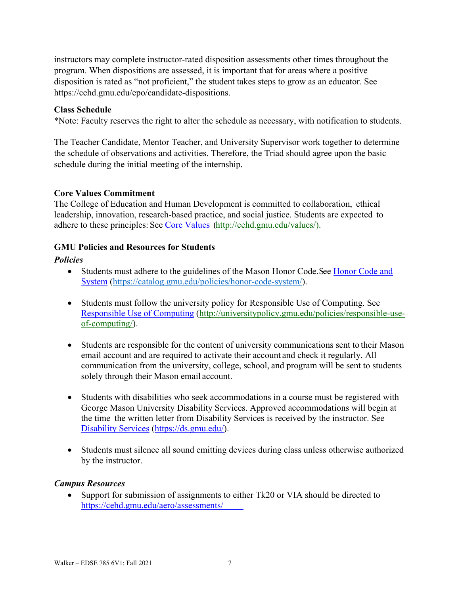instructors may complete instructor-rated disposition assessments other times throughout the program. When dispositions are assessed, it is important that for areas where a positive disposition is rated as "not proficient," the student takes steps to grow as an educator. See https://cehd.gmu.edu/epo/candidate-dispositions.

#### **Class Schedule**

\*Note: Faculty reserves the right to alter the schedule as necessary, with notification to students.

The Teacher Candidate, Mentor Teacher, and University Supervisor work together to determine the schedule of observations and activities. Therefore, the Triad should agree upon the basic schedule during the initial meeting of the internship.

#### **Core Values Commitment**

The College of Education and Human Development is committed to collaboration, ethical leadership, innovation, research-based practice, and social justice. Students are expected to adhere to these principles: See [Core Values](http://cehd.gmu.edu/values/) [\(http://cehd.gmu.edu/values/\)](http://cehd.gmu.edu/values/).

## **GMU Policies and Resources for Students**

#### *Policies*

- Students must adhere to the guidelines of the Mason Honor Code. See Honor Code and [System](https://catalog.gmu.edu/policies/honor-code-system/) [\(https://catalog.gmu.edu/policies/honor-code-system/\)](https://catalog.gmu.edu/policies/honor-code-system/).
- Students must follow the university policy for Responsible Use of Computing. See [Responsible Use of Computing](http://universitypolicy.gmu.edu/policies/responsible-use-of-computing/) [\(http://universitypolicy.gmu.edu/policies/responsible-use](http://universitypolicy.gmu.edu/policies/responsible-use-of-computing/)[of-computing/\)](http://universitypolicy.gmu.edu/policies/responsible-use-of-computing/).
- Students are responsible for the content of university communications sent to their Mason email account and are required to activate their account and check it regularly. All communication from the university, college, school, and program will be sent to students solely through their Mason email account.
- Students with disabilities who seek accommodations in a course must be registered with George Mason University Disability Services. Approved accommodations will begin at the time the written letter from Disability Services is received by the instructor. See [Disability Services](https://ds.gmu.edu/) [\(https://ds.gmu.edu/\)](https://ds.gmu.edu/).
- Students must silence all sound emitting devices during class unless otherwise authorized by the instructor.

## *Campus Resources*

• Support for submission of assignments to either Tk20 or VIA should be directed to <https://cehd.gmu.edu/aero/assessments/>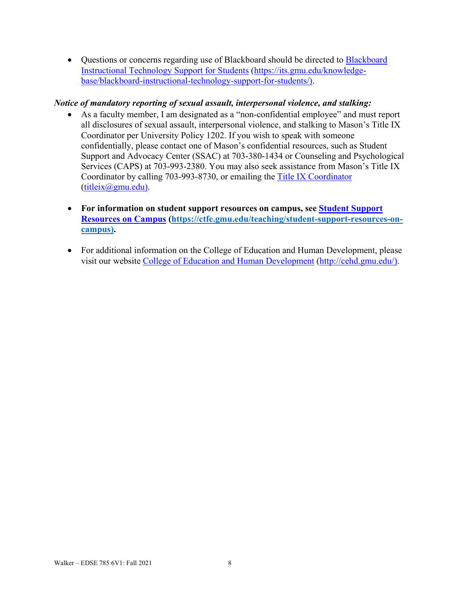• Questions or concerns regarding use of [Blackboard](https://its.gmu.edu/knowledge-base/blackboard-instructional-technology-support-for-students/) should be directed to Blackboard [Instructional Technology Support for Students](https://its.gmu.edu/knowledge-base/blackboard-instructional-technology-support-for-students/) [\(https://its.gmu.edu/knowledge](https://its.gmu.edu/knowledge-base/blackboard-instructional-technology-support-for-students/)[base/blackboard-instructional-technology-support-for-students/\)](https://its.gmu.edu/knowledge-base/blackboard-instructional-technology-support-for-students/).

## *Notice of mandatory reporting of sexual assault, interpersonal violence, and stalking:*

- As a faculty member, I am designated as a "non-confidential employee" and must report all disclosures of sexual assault, interpersonal violence, and stalking to Mason's Title IX Coordinator per University Policy 1202. If you wish to speak with someone confidentially, please contact one of Mason's confidential resources, such as Student Support and Advocacy Center (SSAC) at 703-380-1434 or Counseling and Psychological Services (CAPS) at 703-993-2380. You may also seek assistance from Mason's Title IX Coordinator by calling 703-993-8730, or emailing the [Title IX Coordinator](mailto:titleix@gmu.edu) [\(titleix@gmu.edu\)](mailto:titleix@gmu.edu).
- **For information on student support resources on campus, see [Student Support](https://ctfe.gmu.edu/teaching/student-support-resources-on-campus)  [Resources on Campus](https://ctfe.gmu.edu/teaching/student-support-resources-on-campus) [\(https://ctfe.gmu.edu/teaching/student-support-resources-on](https://ctfe.gmu.edu/teaching/student-support-resources-on-campus)[campus\)](https://ctfe.gmu.edu/teaching/student-support-resources-on-campus).**
- For additional information on the College of Education and Human Development, please visit our website [College of Education and Human Development](http://cehd.gmu.edu/) [\(http://cehd.gmu.edu/\)](https://cehd.gmu.edu/).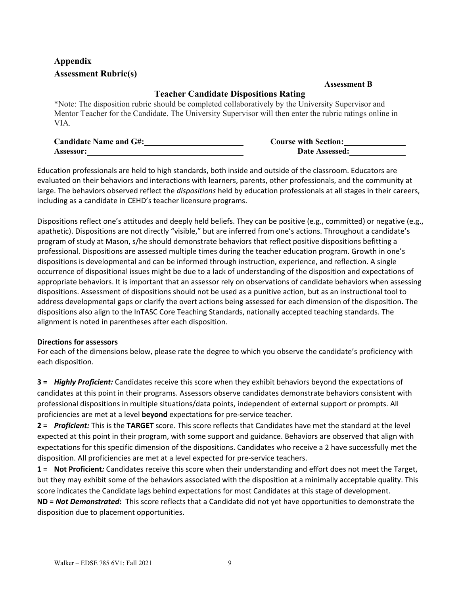# **Appendix Assessment Rubric(s)**

#### **Assessment B**

## **Teacher Candidate Dispositions Rating**

\*Note: The disposition rubric should be completed collaboratively by the University Supervisor and Mentor Teacher for the Candidate. The University Supervisor will then enter the rubric ratings online in VIA.

| <b>Candidate Name and G#:</b> | <b>Course with Section:</b> |
|-------------------------------|-----------------------------|
| <b>Assessor:</b>              | Date Assessed:              |

Education professionals are held to high standards, both inside and outside of the classroom. Educators are evaluated on their behaviors and interactions with learners, parents, other professionals, and the community at large. The behaviors observed reflect the *dispositions* held by education professionals at all stages in their careers, including as a candidate in CEHD's teacher licensure programs.

Dispositions reflect one's attitudes and deeply held beliefs. They can be positive (e.g., committed) or negative (e.g., apathetic). Dispositions are not directly "visible," but are inferred from one's actions. Throughout a candidate's program of study at Mason, s/he should demonstrate behaviors that reflect positive dispositions befitting a professional. Dispositions are assessed multiple times during the teacher education program. Growth in one's dispositions is developmental and can be informed through instruction, experience, and reflection. A single occurrence of dispositional issues might be due to a lack of understanding of the disposition and expectations of appropriate behaviors. It is important that an assessor rely on observations of candidate behaviors when assessing dispositions. Assessment of dispositions should not be used as a punitive action, but as an instructional tool to address developmental gaps or clarify the overt actions being assessed for each dimension of the disposition. The dispositions also align to the InTASC Core Teaching Standards, nationally accepted teaching standards. The alignment is noted in parentheses after each disposition.

#### **Directions for assessors**

For each of the dimensions below, please rate the degree to which you observe the candidate's proficiency with each disposition.

**3 =** *Highly Proficient:* Candidates receive this score when they exhibit behaviors beyond the expectations of candidates at this point in their programs. Assessors observe candidates demonstrate behaviors consistent with professional dispositions in multiple situations/data points, independent of external support or prompts. All proficiencies are met at a level **beyond** expectations for pre-service teacher.

**2 =** *Proficient:* This is the **TARGET** score. This score reflects that Candidates have met the standard at the level expected at this point in their program, with some support and guidance. Behaviors are observed that align with expectations for this specific dimension of the dispositions. Candidates who receive a 2 have successfully met the disposition. All proficiencies are met at a level expected for pre-service teachers.

**1** = **Not Proficient***:* Candidates receive this score when their understanding and effort does not meet the Target, but they may exhibit some of the behaviors associated with the disposition at a minimally acceptable quality. This score indicates the Candidate lags behind expectations for most Candidates at this stage of development.

**ND =** *Not Demonstrated***:** This score reflects that a Candidate did not yet have opportunities to demonstrate the disposition due to placement opportunities.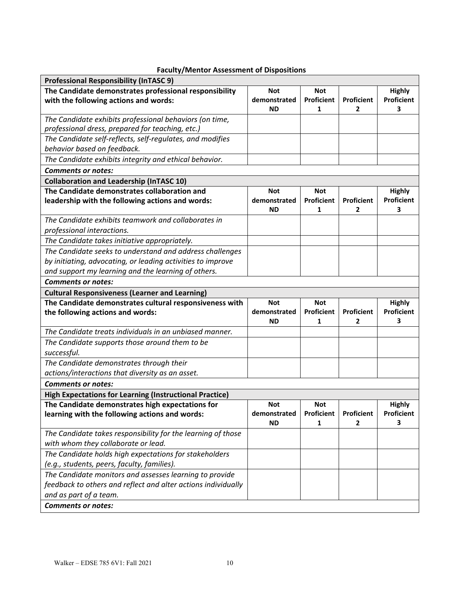| <b>Faculty/Mentor Assessment of Dispositions</b> |  |  |
|--------------------------------------------------|--|--|
|--------------------------------------------------|--|--|

| <b>Professional Responsibility (InTASC 9)</b>                  |                           |                        |                   |                        |
|----------------------------------------------------------------|---------------------------|------------------------|-------------------|------------------------|
| The Candidate demonstrates professional responsibility         | <b>Not</b>                | <b>Not</b>             |                   | <b>Highly</b>          |
| with the following actions and words:                          | demonstrated              | Proficient             | <b>Proficient</b> | <b>Proficient</b>      |
|                                                                | <b>ND</b>                 | 1                      | $\mathbf{2}$      | 3                      |
| The Candidate exhibits professional behaviors (on time,        |                           |                        |                   |                        |
| professional dress, prepared for teaching, etc.)               |                           |                        |                   |                        |
| The Candidate self-reflects, self-regulates, and modifies      |                           |                        |                   |                        |
| behavior based on feedback.                                    |                           |                        |                   |                        |
| The Candidate exhibits integrity and ethical behavior.         |                           |                        |                   |                        |
| <b>Comments or notes:</b>                                      |                           |                        |                   |                        |
| <b>Collaboration and Leadership (InTASC 10)</b>                |                           |                        |                   |                        |
| The Candidate demonstrates collaboration and                   | <b>Not</b>                | <b>Not</b>             |                   | <b>Highly</b>          |
| leadership with the following actions and words:               | demonstrated<br><b>ND</b> | <b>Proficient</b><br>1 | Proficient<br>2   | Proficient<br>3        |
| The Candidate exhibits teamwork and collaborates in            |                           |                        |                   |                        |
| professional interactions.                                     |                           |                        |                   |                        |
| The Candidate takes initiative appropriately.                  |                           |                        |                   |                        |
| The Candidate seeks to understand and address challenges       |                           |                        |                   |                        |
| by initiating, advocating, or leading activities to improve    |                           |                        |                   |                        |
| and support my learning and the learning of others.            |                           |                        |                   |                        |
| <b>Comments or notes:</b>                                      |                           |                        |                   |                        |
| <b>Cultural Responsiveness (Learner and Learning)</b>          |                           |                        |                   |                        |
|                                                                |                           |                        |                   |                        |
| The Candidate demonstrates cultural responsiveness with        | <b>Not</b>                | <b>Not</b>             |                   | <b>Highly</b>          |
| the following actions and words:                               | demonstrated              | Proficient             | Proficient        | Proficient             |
|                                                                | ΝD                        | 1                      | 2                 | 3                      |
| The Candidate treats individuals in an unbiased manner.        |                           |                        |                   |                        |
| The Candidate supports those around them to be                 |                           |                        |                   |                        |
| successful.                                                    |                           |                        |                   |                        |
| The Candidate demonstrates through their                       |                           |                        |                   |                        |
| actions/interactions that diversity as an asset.               |                           |                        |                   |                        |
| <b>Comments or notes:</b>                                      |                           |                        |                   |                        |
| <b>High Expectations for Learning (Instructional Practice)</b> |                           |                        |                   |                        |
| The Candidate demonstrates high expectations for               | <b>Not</b>                | <b>Not</b>             |                   | <b>Highly</b>          |
| learning with the following actions and words:                 | demonstrated<br><b>ND</b> | Proficient<br>1        | Proficient<br>2   | <b>Proficient</b><br>3 |
| The Candidate takes responsibility for the learning of those   |                           |                        |                   |                        |
| with whom they collaborate or lead.                            |                           |                        |                   |                        |
| The Candidate holds high expectations for stakeholders         |                           |                        |                   |                        |
| (e.g., students, peers, faculty, families).                    |                           |                        |                   |                        |
| The Candidate monitors and assesses learning to provide        |                           |                        |                   |                        |
| feedback to others and reflect and alter actions individually  |                           |                        |                   |                        |
| and as part of a team.                                         |                           |                        |                   |                        |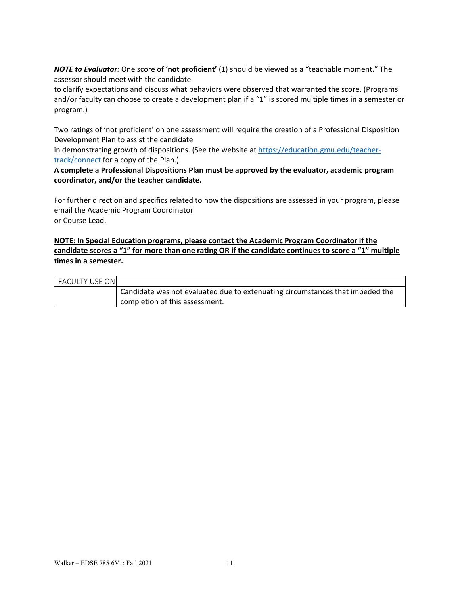*NOTE to Evaluator:* One score of '**not proficient'** (1) should be viewed as a "teachable moment." The assessor should meet with the candidate

to clarify expectations and discuss what behaviors were observed that warranted the score. (Programs and/or faculty can choose to create a development plan if a "1" is scored multiple times in a semester or program.)

Two ratings of 'not proficient' on one assessment will require the creation of a Professional Disposition Development Plan to assist the candidate

in demonstrating growth of dispositions. (See the website at [https://education.gmu.edu/teacher](https://education.gmu.edu/teacher-track/connect)[track/connect](https://education.gmu.edu/teacher-track/connect) for a copy of the Plan.)

#### **A complete a Professional Dispositions Plan must be approved by the evaluator, academic program coordinator, and/or the teacher candidate.**

For further direction and specifics related to how the dispositions are assessed in your program, please email the Academic Program Coordinator or Course Lead.

#### **NOTE: In Special Education programs, please contact the Academic Program Coordinator if the candidate scores a "1" for more than one rating OR if the candidate continues to score a "1" multiple times in a semester.**

| l FACULTY USE ONI |                                                                               |
|-------------------|-------------------------------------------------------------------------------|
|                   | Candidate was not evaluated due to extenuating circumstances that impeded the |
|                   | completion of this assessment.                                                |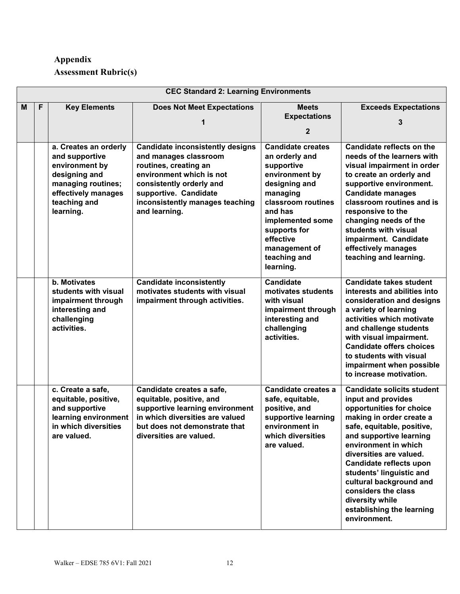# **Appendix Assessment Rubric(s)**

|   | <b>CEC Standard 2: Learning Environments</b> |                                                                                                                                                      |                                                                                                                                                                                                                                |                                                                                                                                                                                                                                         |                                                                                                                                                                                                                                                                                                                                                                                                      |  |
|---|----------------------------------------------|------------------------------------------------------------------------------------------------------------------------------------------------------|--------------------------------------------------------------------------------------------------------------------------------------------------------------------------------------------------------------------------------|-----------------------------------------------------------------------------------------------------------------------------------------------------------------------------------------------------------------------------------------|------------------------------------------------------------------------------------------------------------------------------------------------------------------------------------------------------------------------------------------------------------------------------------------------------------------------------------------------------------------------------------------------------|--|
| M | F                                            | <b>Key Elements</b>                                                                                                                                  | <b>Does Not Meet Expectations</b>                                                                                                                                                                                              | <b>Meets</b><br><b>Expectations</b><br>2                                                                                                                                                                                                | <b>Exceeds Expectations</b>                                                                                                                                                                                                                                                                                                                                                                          |  |
|   |                                              | a. Creates an orderly<br>and supportive<br>environment by<br>designing and<br>managing routines;<br>effectively manages<br>teaching and<br>learning. | <b>Candidate inconsistently designs</b><br>and manages classroom<br>routines, creating an<br>environment which is not<br>consistently orderly and<br>supportive. Candidate<br>inconsistently manages teaching<br>and learning. | <b>Candidate creates</b><br>an orderly and<br>supportive<br>environment by<br>designing and<br>managing<br>classroom routines<br>and has<br>implemented some<br>supports for<br>effective<br>management of<br>teaching and<br>learning. | <b>Candidate reflects on the</b><br>needs of the learners with<br>visual impairment in order<br>to create an orderly and<br>supportive environment.<br><b>Candidate manages</b><br>classroom routines and is<br>responsive to the<br>changing needs of the<br>students with visual<br>impairment. Candidate<br>effectively manages<br>teaching and learning.                                         |  |
|   |                                              | b. Motivates<br>students with visual<br>impairment through<br>interesting and<br>challenging<br>activities.                                          | <b>Candidate inconsistently</b><br>motivates students with visual<br>impairment through activities.                                                                                                                            | <b>Candidate</b><br>motivates students<br>with visual<br>impairment through<br>interesting and<br>challenging<br>activities.                                                                                                            | <b>Candidate takes student</b><br>interests and abilities into<br>consideration and designs<br>a variety of learning<br>activities which motivate<br>and challenge students<br>with visual impairment.<br><b>Candidate offers choices</b><br>to students with visual<br>impairment when possible<br>to increase motivation.                                                                          |  |
|   |                                              | c. Create a safe,<br>equitable, positive,<br>and supportive<br>learning environment<br>in which diversities<br>are valued.                           | Candidate creates a safe,<br>equitable, positive, and<br>supportive learning environment<br>in which diversities are valued<br>but does not demonstrate that<br>diversities are valued.                                        | Candidate creates a<br>safe, equitable,<br>positive, and<br>supportive learning<br>environment in<br>which diversities<br>are valued.                                                                                                   | <b>Candidate solicits student</b><br>input and provides<br>opportunities for choice<br>making in order create a<br>safe, equitable, positive,<br>and supportive learning<br>environment in which<br>diversities are valued.<br>Candidate reflects upon<br>students' linguistic and<br>cultural background and<br>considers the class<br>diversity while<br>establishing the learning<br>environment. |  |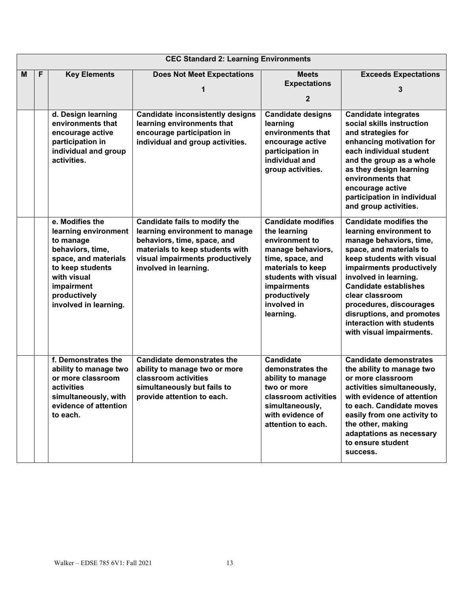|   | <b>CEC Standard 2: Learning Environments</b> |                                                                                                                                                                                            |                                                                                                                                                                                               |                                                                                                                                                                                                              |                                                                                                                                                                                                                                                                                                                                                                      |  |
|---|----------------------------------------------|--------------------------------------------------------------------------------------------------------------------------------------------------------------------------------------------|-----------------------------------------------------------------------------------------------------------------------------------------------------------------------------------------------|--------------------------------------------------------------------------------------------------------------------------------------------------------------------------------------------------------------|----------------------------------------------------------------------------------------------------------------------------------------------------------------------------------------------------------------------------------------------------------------------------------------------------------------------------------------------------------------------|--|
| M | F                                            | <b>Key Elements</b>                                                                                                                                                                        | <b>Does Not Meet Expectations</b>                                                                                                                                                             | <b>Meets</b><br><b>Expectations</b><br>$\mathbf{2}$                                                                                                                                                          | <b>Exceeds Expectations</b><br>3                                                                                                                                                                                                                                                                                                                                     |  |
|   |                                              | d. Design learning<br>environments that<br>encourage active<br>participation in<br>individual and group<br>activities.                                                                     | <b>Candidate inconsistently designs</b><br>learning environments that<br>encourage participation in<br>individual and group activities.                                                       | <b>Candidate designs</b><br>learning<br>environments that<br>encourage active<br>participation in<br>individual and<br>group activities.                                                                     | <b>Candidate integrates</b><br>social skills instruction<br>and strategies for<br>enhancing motivation for<br>each individual student<br>and the group as a whole<br>as they design learning<br>environments that<br>encourage active<br>participation in individual<br>and group activities.                                                                        |  |
|   |                                              | e. Modifies the<br>learning environment<br>to manage<br>behaviors, time,<br>space, and materials<br>to keep students<br>with visual<br>impairment<br>productively<br>involved in learning. | Candidate fails to modify the<br>learning environment to manage<br>behaviors, time, space, and<br>materials to keep students with<br>visual impairments productively<br>involved in learning. | <b>Candidate modifies</b><br>the learning<br>environment to<br>manage behaviors,<br>time, space, and<br>materials to keep<br>students with visual<br>impairments<br>productively<br>involved in<br>learning. | <b>Candidate modifies the</b><br>learning environment to<br>manage behaviors, time,<br>space, and materials to<br>keep students with visual<br>impairments productively<br>involved in learning.<br><b>Candidate establishes</b><br>clear classroom<br>procedures, discourages<br>disruptions, and promotes<br>interaction with students<br>with visual impairments. |  |
|   |                                              | f. Demonstrates the<br>ability to manage two<br>or more classroom<br>activities<br>simultaneously, with<br>evidence of attention<br>to each.                                               | <b>Candidate demonstrates the</b><br>ability to manage two or more<br>classroom activities<br>simultaneously but fails to<br>provide attention to each.                                       | <b>Candidate</b><br>demonstrates the<br>ability to manage<br>two or more<br>classroom activities<br>simultaneously,<br>with evidence of<br>attention to each.                                                | <b>Candidate demonstrates</b><br>the ability to manage two<br>or more classroom<br>activities simultaneouslv.<br>with evidence of attention<br>to each. Candidate moves<br>easily from one activity to<br>the other, making<br>adaptations as necessary<br>to ensure student<br>success.                                                                             |  |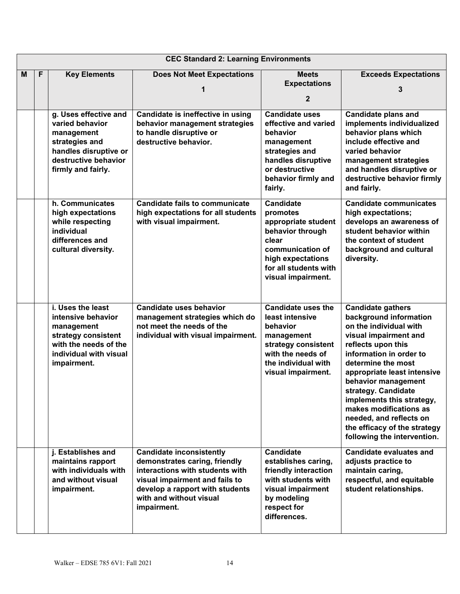|   | <b>CEC Standard 2: Learning Environments</b> |                                                                                                                                                 |                                                                                                                                                                                                                    |                                                                                                                                                                          |                                                                                                                                                                                                                                                                                                                                                                                                            |  |
|---|----------------------------------------------|-------------------------------------------------------------------------------------------------------------------------------------------------|--------------------------------------------------------------------------------------------------------------------------------------------------------------------------------------------------------------------|--------------------------------------------------------------------------------------------------------------------------------------------------------------------------|------------------------------------------------------------------------------------------------------------------------------------------------------------------------------------------------------------------------------------------------------------------------------------------------------------------------------------------------------------------------------------------------------------|--|
| M | F                                            | <b>Key Elements</b>                                                                                                                             | <b>Does Not Meet Expectations</b><br>1                                                                                                                                                                             | <b>Meets</b><br><b>Expectations</b><br>$\mathbf{2}$                                                                                                                      | <b>Exceeds Expectations</b><br>3                                                                                                                                                                                                                                                                                                                                                                           |  |
|   |                                              | g. Uses effective and<br>varied behavior<br>management<br>strategies and<br>handles disruptive or<br>destructive behavior<br>firmly and fairly. | Candidate is ineffective in using<br>behavior management strategies<br>to handle disruptive or<br>destructive behavior.                                                                                            | <b>Candidate uses</b><br>effective and varied<br>behavior<br>management<br>strategies and<br>handles disruptive<br>or destructive<br>behavior firmly and<br>fairly.      | <b>Candidate plans and</b><br>implements individualized<br>behavior plans which<br>include effective and<br>varied behavior<br>management strategies<br>and handles disruptive or<br>destructive behavior firmly<br>and fairly.                                                                                                                                                                            |  |
|   |                                              | h. Communicates<br>high expectations<br>while respecting<br>individual<br>differences and<br>cultural diversity.                                | <b>Candidate fails to communicate</b><br>high expectations for all students<br>with visual impairment.                                                                                                             | <b>Candidate</b><br>promotes<br>appropriate student<br>behavior through<br>clear<br>communication of<br>high expectations<br>for all students with<br>visual impairment. | <b>Candidate communicates</b><br>high expectations;<br>develops an awareness of<br>student behavior within<br>the context of student<br>background and cultural<br>diversity.                                                                                                                                                                                                                              |  |
|   |                                              | i. Uses the least<br>intensive behavior<br>management<br>strategy consistent<br>with the needs of the<br>individual with visual<br>impairment.  | <b>Candidate uses behavior</b><br>management strategies which do<br>not meet the needs of the<br>individual with visual impairment.                                                                                | <b>Candidate uses the</b><br>least intensive<br>behavior<br>management<br>strategy consistent<br>with the needs of<br>the individual with<br>visual impairment.          | <b>Candidate gathers</b><br>background information<br>on the individual with<br>visual impairment and<br>reflects upon this<br>information in order to<br>determine the most<br>appropriate least intensive<br>behavior management<br>strategy. Candidate<br>implements this strategy,<br>makes modifications as<br>needed, and reflects on<br>the efficacy of the strategy<br>following the intervention. |  |
|   |                                              | j. Establishes and<br>maintains rapport<br>with individuals with<br>and without visual<br>impairment.                                           | <b>Candidate inconsistently</b><br>demonstrates caring, friendly<br>interactions with students with<br>visual impairment and fails to<br>develop a rapport with students<br>with and without visual<br>impairment. | <b>Candidate</b><br>establishes caring,<br>friendly interaction<br>with students with<br>visual impairment<br>by modeling<br>respect for<br>differences.                 | <b>Candidate evaluates and</b><br>adjusts practice to<br>maintain caring,<br>respectful, and equitable<br>student relationships.                                                                                                                                                                                                                                                                           |  |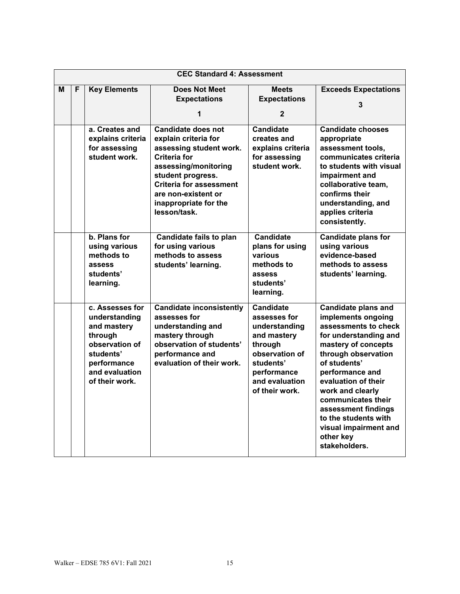|   | <b>CEC Standard 4: Assessment</b> |                          |                                              |                             |                                           |  |
|---|-----------------------------------|--------------------------|----------------------------------------------|-----------------------------|-------------------------------------------|--|
| м | F                                 | <b>Key Elements</b>      | <b>Does Not Meet</b>                         | <b>Meets</b>                | <b>Exceeds Expectations</b>               |  |
|   |                                   |                          | <b>Expectations</b>                          | <b>Expectations</b>         |                                           |  |
|   |                                   |                          | 1                                            | $\mathbf{2}$                | 3                                         |  |
|   |                                   |                          |                                              |                             |                                           |  |
|   |                                   | a. Creates and           | <b>Candidate does not</b>                    | <b>Candidate</b>            | <b>Candidate chooses</b>                  |  |
|   |                                   | explains criteria        | explain criteria for                         | creates and                 | appropriate                               |  |
|   |                                   | for assessing            | assessing student work.                      | explains criteria           | assessment tools,                         |  |
|   |                                   | student work.            | <b>Criteria for</b>                          | for assessing               | communicates criteria                     |  |
|   |                                   |                          | assessing/monitoring<br>student progress.    | student work.               | to students with visual<br>impairment and |  |
|   |                                   |                          | <b>Criteria for assessment</b>               |                             | collaborative team,                       |  |
|   |                                   |                          | are non-existent or                          |                             | confirms their                            |  |
|   |                                   |                          | inappropriate for the                        |                             | understanding, and                        |  |
|   |                                   |                          | lesson/task.                                 |                             | applies criteria                          |  |
|   |                                   |                          |                                              |                             | consistently.                             |  |
|   |                                   | b. Plans for             | Candidate fails to plan                      | <b>Candidate</b>            | <b>Candidate plans for</b>                |  |
|   |                                   | using various            | for using various                            | plans for using             | using various                             |  |
|   |                                   | methods to               | methods to assess                            | various                     | evidence-based                            |  |
|   |                                   | assess                   | students' learning.                          | methods to                  | methods to assess                         |  |
|   |                                   | students'                |                                              | assess                      | students' learning.                       |  |
|   |                                   | learning.                |                                              | students'                   |                                           |  |
|   |                                   |                          |                                              | learning.                   |                                           |  |
|   |                                   | c. Assesses for          | <b>Candidate inconsistently</b>              | <b>Candidate</b>            | <b>Candidate plans and</b>                |  |
|   |                                   | understanding            | assesses for                                 | assesses for                | implements ongoing                        |  |
|   |                                   | and mastery              | understanding and                            | understanding               | assessments to check                      |  |
|   |                                   | through                  | mastery through                              | and mastery                 | for understanding and                     |  |
|   |                                   | observation of           | observation of students'                     | through                     | mastery of concepts                       |  |
|   |                                   | students'<br>performance | performance and<br>evaluation of their work. | observation of<br>students' | through observation<br>of students'       |  |
|   |                                   | and evaluation           |                                              | performance                 | performance and                           |  |
|   |                                   | of their work.           |                                              | and evaluation              | evaluation of their                       |  |
|   |                                   |                          |                                              | of their work.              | work and clearly                          |  |
|   |                                   |                          |                                              |                             | communicates their                        |  |
|   |                                   |                          |                                              |                             | assessment findings                       |  |
|   |                                   |                          |                                              |                             | to the students with                      |  |
|   |                                   |                          |                                              |                             | visual impairment and                     |  |
|   |                                   |                          |                                              |                             | other key                                 |  |
|   |                                   |                          |                                              |                             | stakeholders.                             |  |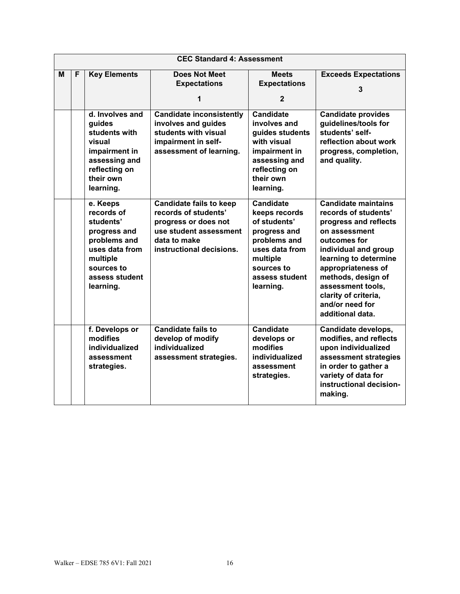|   | <b>CEC Standard 4: Assessment</b> |                                                                                                                                                |                                                                                                                                                      |                                                                                                                                                              |                                                                                                                                                                                                                                                                                               |  |  |
|---|-----------------------------------|------------------------------------------------------------------------------------------------------------------------------------------------|------------------------------------------------------------------------------------------------------------------------------------------------------|--------------------------------------------------------------------------------------------------------------------------------------------------------------|-----------------------------------------------------------------------------------------------------------------------------------------------------------------------------------------------------------------------------------------------------------------------------------------------|--|--|
| M | F                                 | <b>Key Elements</b>                                                                                                                            | <b>Does Not Meet</b><br><b>Expectations</b>                                                                                                          | <b>Meets</b><br><b>Expectations</b><br>$\mathbf{2}$                                                                                                          | <b>Exceeds Expectations</b><br>3                                                                                                                                                                                                                                                              |  |  |
|   |                                   | d. Involves and<br>guides<br>students with<br>visual<br>impairment in<br>assessing and<br>reflecting on<br>their own<br>learning.              | <b>Candidate inconsistently</b><br>involves and guides<br>students with visual<br>impairment in self-<br>assessment of learning.                     | <b>Candidate</b><br>involves and<br>guides students<br>with visual<br>impairment in<br>assessing and<br>reflecting on<br>their own<br>learning.              | <b>Candidate provides</b><br>guidelines/tools for<br>students' self-<br>reflection about work<br>progress, completion,<br>and quality.                                                                                                                                                        |  |  |
|   |                                   | e. Keeps<br>records of<br>students'<br>progress and<br>problems and<br>uses data from<br>multiple<br>sources to<br>assess student<br>learning. | <b>Candidate fails to keep</b><br>records of students'<br>progress or does not<br>use student assessment<br>data to make<br>instructional decisions. | <b>Candidate</b><br>keeps records<br>of students'<br>progress and<br>problems and<br>uses data from<br>multiple<br>sources to<br>assess student<br>learning. | <b>Candidate maintains</b><br>records of students'<br>progress and reflects<br>on assessment<br>outcomes for<br>individual and group<br>learning to determine<br>appropriateness of<br>methods, design of<br>assessment tools,<br>clarity of criteria,<br>and/or need for<br>additional data. |  |  |
|   |                                   | f. Develops or<br>modifies<br>individualized<br>assessment<br>strategies.                                                                      | <b>Candidate fails to</b><br>develop of modify<br>individualized<br>assessment strategies.                                                           | <b>Candidate</b><br>develops or<br>modifies<br>individualized<br>assessment<br>strategies.                                                                   | Candidate develops,<br>modifies, and reflects<br>upon individualized<br>assessment strategies<br>in order to gather a<br>variety of data for<br>instructional decision-<br>making.                                                                                                            |  |  |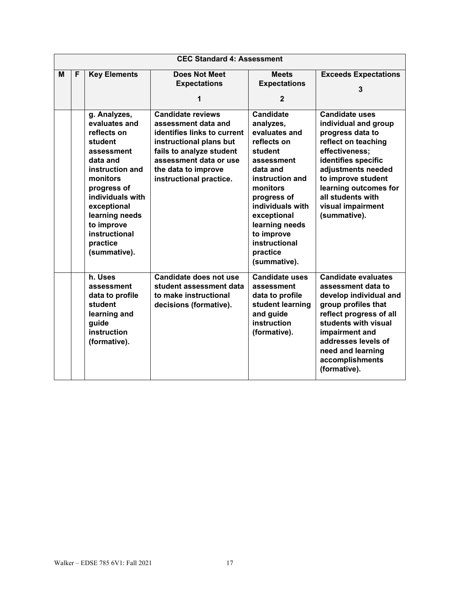|   | <b>CEC Standard 4: Assessment</b> |                                                                                                                                                                                                                                                 |                                                                                                                                                                                                                   |                                                                                                                                                                                                                                                                  |                                                                                                                                                                                                                                                                  |  |  |
|---|-----------------------------------|-------------------------------------------------------------------------------------------------------------------------------------------------------------------------------------------------------------------------------------------------|-------------------------------------------------------------------------------------------------------------------------------------------------------------------------------------------------------------------|------------------------------------------------------------------------------------------------------------------------------------------------------------------------------------------------------------------------------------------------------------------|------------------------------------------------------------------------------------------------------------------------------------------------------------------------------------------------------------------------------------------------------------------|--|--|
| M | F                                 | <b>Key Elements</b>                                                                                                                                                                                                                             | <b>Does Not Meet</b><br><b>Expectations</b><br>1                                                                                                                                                                  | <b>Meets</b><br><b>Expectations</b><br>$\mathbf{2}$                                                                                                                                                                                                              | <b>Exceeds Expectations</b><br>3                                                                                                                                                                                                                                 |  |  |
|   |                                   | g. Analyzes,<br>evaluates and<br>reflects on<br>student<br>assessment<br>data and<br>instruction and<br>monitors<br>progress of<br>individuals with<br>exceptional<br>learning needs<br>to improve<br>instructional<br>practice<br>(summative). | <b>Candidate reviews</b><br>assessment data and<br>identifies links to current<br>instructional plans but<br>fails to analyze student<br>assessment data or use<br>the data to improve<br>instructional practice. | <b>Candidate</b><br>analyzes,<br>evaluates and<br>reflects on<br>student<br>assessment<br>data and<br>instruction and<br>monitors<br>progress of<br>individuals with<br>exceptional<br>learning needs<br>to improve<br>instructional<br>practice<br>(summative). | <b>Candidate uses</b><br>individual and group<br>progress data to<br>reflect on teaching<br>effectiveness;<br>identifies specific<br>adjustments needed<br>to improve student<br>learning outcomes for<br>all students with<br>visual impairment<br>(summative). |  |  |
|   |                                   | $\overline{h}$ . Uses<br>assessment<br>data to profile<br>student<br>learning and<br>guide<br>instruction<br>(formative).                                                                                                                       | <b>Candidate does not use</b><br>student assessment data<br>to make instructional<br>decisions (formative).                                                                                                       | <b>Candidate uses</b><br>assessment<br>data to profile<br>student learning<br>and guide<br>instruction<br>(formative).                                                                                                                                           | <b>Candidate evaluates</b><br>assessment data to<br>develop individual and<br>group profiles that<br>reflect progress of all<br>students with visual<br>impairment and<br>addresses levels of<br>need and learning<br>accomplishments<br>(formative).            |  |  |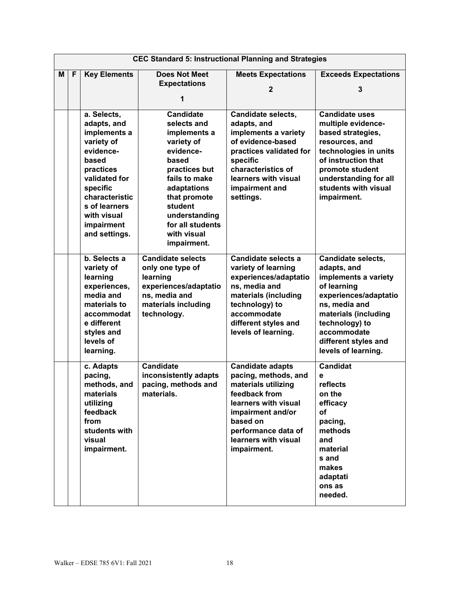|   | <b>CEC Standard 5: Instructional Planning and Strategies</b> |                                                                                                                                                                                                           |                                                                                                                                                                                                                                    |                                                                                                                                                                                                                |                                                                                                                                                                                                                                   |
|---|--------------------------------------------------------------|-----------------------------------------------------------------------------------------------------------------------------------------------------------------------------------------------------------|------------------------------------------------------------------------------------------------------------------------------------------------------------------------------------------------------------------------------------|----------------------------------------------------------------------------------------------------------------------------------------------------------------------------------------------------------------|-----------------------------------------------------------------------------------------------------------------------------------------------------------------------------------------------------------------------------------|
| M | F                                                            | <b>Key Elements</b>                                                                                                                                                                                       | <b>Does Not Meet</b><br><b>Expectations</b><br>1                                                                                                                                                                                   | <b>Meets Expectations</b><br>$\overline{2}$                                                                                                                                                                    | <b>Exceeds Expectations</b><br>3                                                                                                                                                                                                  |
|   |                                                              | a. Selects,<br>adapts, and<br>implements a<br>variety of<br>evidence-<br>based<br>practices<br>validated for<br>specific<br>characteristic<br>s of learners<br>with visual<br>impairment<br>and settings. | <b>Candidate</b><br>selects and<br>implements a<br>variety of<br>evidence-<br>based<br>practices but<br>fails to make<br>adaptations<br>that promote<br>student<br>understanding<br>for all students<br>with visual<br>impairment. | <b>Candidate selects,</b><br>adapts, and<br>implements a variety<br>of evidence-based<br>practices validated for<br>specific<br>characteristics of<br>learners with visual<br>impairment and<br>settings.      | <b>Candidate uses</b><br>multiple evidence-<br>based strategies,<br>resources, and<br>technologies in units<br>of instruction that<br>promote student<br>understanding for all<br>students with visual<br>impairment.             |
|   |                                                              | b. Selects a<br>variety of<br>learning<br>experiences,<br>media and<br>materials to<br>accommodat<br>e different<br>styles and<br>levels of<br>learning.                                                  | <b>Candidate selects</b><br>only one type of<br>learning<br>experiences/adaptatio<br>ns, media and<br>materials including<br>technology.                                                                                           | Candidate selects a<br>variety of learning<br>experiences/adaptatio<br>ns, media and<br>materials (including<br>technology) to<br>accommodate<br>different styles and<br>levels of learning.                   | <b>Candidate selects,</b><br>adapts, and<br>implements a variety<br>of learning<br>experiences/adaptatio<br>ns, media and<br>materials (including<br>technology) to<br>accommodate<br>different styles and<br>levels of learning. |
|   |                                                              | c. Adapts<br>pacing,<br>methods, and<br>materials<br>utilizing<br>feedback<br>from<br>students with<br>visual<br>impairment.                                                                              | <b>Candidate</b><br>inconsistently adapts<br>pacing, methods and<br>materials.                                                                                                                                                     | <b>Candidate adapts</b><br>pacing, methods, and<br>materials utilizing<br>feedback from<br>learners with visual<br>impairment and/or<br>based on<br>performance data of<br>learners with visual<br>impairment. | <b>Candidat</b><br>e<br>reflects<br>on the<br>efficacy<br>of<br>pacing,<br>methods<br>and<br>material<br>s and<br>makes<br>adaptati<br>ons as<br>needed.                                                                          |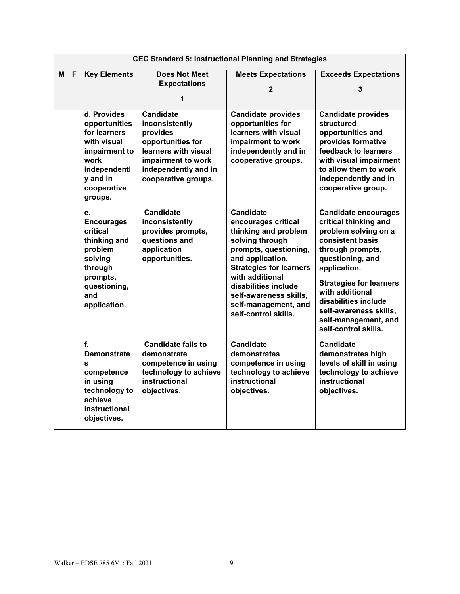|   | <b>CEC Standard 5: Instructional Planning and Strategies</b> |                                                                                                                                            |                                                                                                                                                                  |                                                                                                                                                                                                                                                                                        |                                                                                                                                                                                                                                                                                                                 |  |  |  |
|---|--------------------------------------------------------------|--------------------------------------------------------------------------------------------------------------------------------------------|------------------------------------------------------------------------------------------------------------------------------------------------------------------|----------------------------------------------------------------------------------------------------------------------------------------------------------------------------------------------------------------------------------------------------------------------------------------|-----------------------------------------------------------------------------------------------------------------------------------------------------------------------------------------------------------------------------------------------------------------------------------------------------------------|--|--|--|
| M | F                                                            | <b>Key Elements</b>                                                                                                                        | <b>Does Not Meet</b><br><b>Expectations</b>                                                                                                                      | <b>Meets Expectations</b><br>$\mathbf{2}$                                                                                                                                                                                                                                              | <b>Exceeds Expectations</b><br>3                                                                                                                                                                                                                                                                                |  |  |  |
|   |                                                              | d. Provides<br>opportunities<br>for learners<br>with visual<br>impairment to<br>work<br>independentl<br>y and in<br>cooperative<br>groups. | <b>Candidate</b><br>inconsistently<br>provides<br>opportunities for<br>learners with visual<br>impairment to work<br>independently and in<br>cooperative groups. | <b>Candidate provides</b><br>opportunities for<br>learners with visual<br>impairment to work<br>independently and in<br>cooperative groups.                                                                                                                                            | <b>Candidate provides</b><br>structured<br>opportunities and<br>provides formative<br>feedback to learners<br>with visual impairment<br>to allow them to work<br>independently and in<br>cooperative group.                                                                                                     |  |  |  |
|   |                                                              | e.<br><b>Encourages</b><br>critical<br>thinking and<br>problem<br>solving<br>through<br>prompts,<br>questioning,<br>and<br>application.    | <b>Candidate</b><br>inconsistently<br>provides prompts,<br>questions and<br>application<br>opportunities.                                                        | <b>Candidate</b><br>encourages critical<br>thinking and problem<br>solving through<br>prompts, questioning,<br>and application.<br><b>Strategies for learners</b><br>with additional<br>disabilities include<br>self-awareness skills,<br>self-management, and<br>self-control skills. | <b>Candidate encourages</b><br>critical thinking and<br>problem solving on a<br>consistent basis<br>through prompts,<br>questioning, and<br>application.<br><b>Strategies for learners</b><br>with additional<br>disabilities include<br>self-awareness skills,<br>self-management, and<br>self-control skills. |  |  |  |
|   |                                                              | f.<br><b>Demonstrate</b><br>$\mathbf{s}$<br>competence<br>in using<br>technology to<br>achieve<br>instructional<br>objectives.             | <b>Candidate fails to</b><br>demonstrate<br>competence in using<br>technology to achieve<br>instructional<br>objectives.                                         | <b>Candidate</b><br>demonstrates<br>competence in using<br>technology to achieve<br>instructional<br>objectives.                                                                                                                                                                       | <b>Candidate</b><br>demonstrates high<br>levels of skill in using<br>technology to achieve<br>instructional<br>objectives.                                                                                                                                                                                      |  |  |  |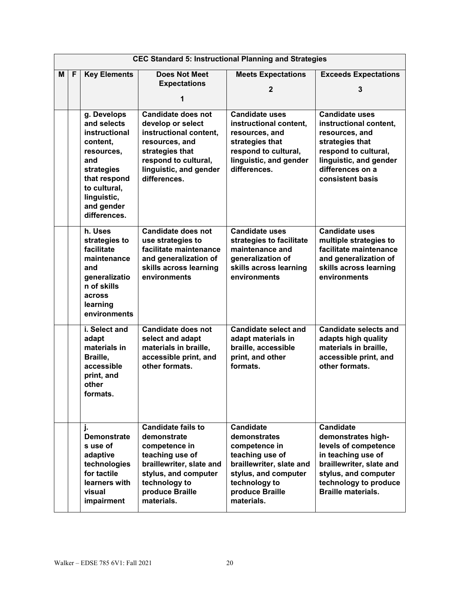|   | <b>CEC Standard 5: Instructional Planning and Strategies</b> |                                                                                                                                                                         |                                                                                                                                                                                    |                                                                                                                                                                            |                                                                                                                                                                                                |  |  |
|---|--------------------------------------------------------------|-------------------------------------------------------------------------------------------------------------------------------------------------------------------------|------------------------------------------------------------------------------------------------------------------------------------------------------------------------------------|----------------------------------------------------------------------------------------------------------------------------------------------------------------------------|------------------------------------------------------------------------------------------------------------------------------------------------------------------------------------------------|--|--|
| М | F                                                            | <b>Key Elements</b>                                                                                                                                                     | <b>Does Not Meet</b><br><b>Expectations</b><br>1                                                                                                                                   | <b>Meets Expectations</b><br>$\mathbf{2}$                                                                                                                                  | <b>Exceeds Expectations</b><br>3                                                                                                                                                               |  |  |
|   |                                                              | g. Develops<br>and selects<br>instructional<br>content,<br>resources,<br>and<br>strategies<br>that respond<br>to cultural,<br>linguistic,<br>and gender<br>differences. | <b>Candidate does not</b><br>develop or select<br>instructional content,<br>resources, and<br>strategies that<br>respond to cultural,<br>linguistic, and gender<br>differences.    | <b>Candidate uses</b><br>instructional content,<br>resources, and<br>strategies that<br>respond to cultural,<br>linguistic, and gender<br>differences.                     | <b>Candidate uses</b><br>instructional content,<br>resources, and<br>strategies that<br>respond to cultural,<br>linguistic, and gender<br>differences on a<br>consistent basis                 |  |  |
|   |                                                              | h. Uses<br>strategies to<br>facilitate<br>maintenance<br>and<br>generalizatio<br>n of skills<br>across<br>learning<br>environments                                      | <b>Candidate does not</b><br>use strategies to<br>facilitate maintenance<br>and generalization of<br>skills across learning<br>environments                                        | <b>Candidate uses</b><br>strategies to facilitate<br>maintenance and<br>generalization of<br>skills across learning<br>environments                                        | <b>Candidate uses</b><br>multiple strategies to<br>facilitate maintenance<br>and generalization of<br>skills across learning<br>environments                                                   |  |  |
|   |                                                              | i. Select and<br>adapt<br>materials in<br>Braille,<br>accessible<br>print, and<br>other<br>formats.                                                                     | <b>Candidate does not</b><br>select and adapt<br>materials in braille,<br>accessible print, and<br>other formats.                                                                  | <b>Candidate select and</b><br>adapt materials in<br>braille, accessible<br>print, and other<br>formats.                                                                   | <b>Candidate selects and</b><br>adapts high quality<br>materials in braille,<br>accessible print, and<br>other formats.                                                                        |  |  |
|   |                                                              | j.<br><b>Demonstrate</b><br>s use of<br>adaptive<br>technologies<br>for tactile<br>learners with<br>visual<br>impairment                                                | <b>Candidate fails to</b><br>demonstrate<br>competence in<br>teaching use of<br>braillewriter, slate and<br>stylus, and computer<br>technology to<br>produce Braille<br>materials. | <b>Candidate</b><br>demonstrates<br>competence in<br>teaching use of<br>braillewriter, slate and<br>stylus, and computer<br>technology to<br>produce Braille<br>materials. | <b>Candidate</b><br>demonstrates high-<br>levels of competence<br>in teaching use of<br>braillewriter, slate and<br>stylus, and computer<br>technology to produce<br><b>Braille materials.</b> |  |  |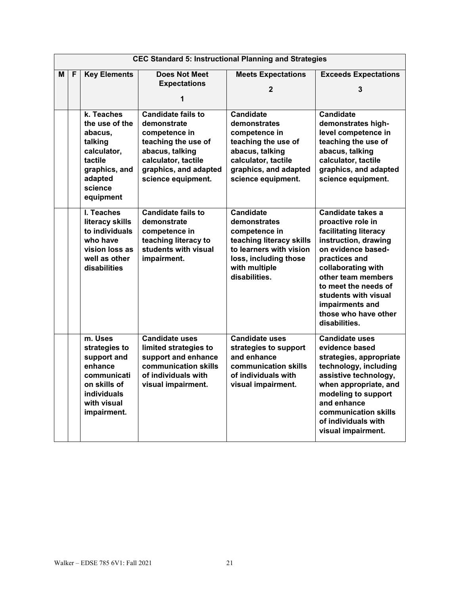|                               | <b>CEC Standard 5: Instructional Planning and Strategies</b> |                                                                                                                                       |                                                                                                                                                                           |                                                                                                                                                                     |                                                                                                                                                                                                                                                                                        |  |  |
|-------------------------------|--------------------------------------------------------------|---------------------------------------------------------------------------------------------------------------------------------------|---------------------------------------------------------------------------------------------------------------------------------------------------------------------------|---------------------------------------------------------------------------------------------------------------------------------------------------------------------|----------------------------------------------------------------------------------------------------------------------------------------------------------------------------------------------------------------------------------------------------------------------------------------|--|--|
| <b>Key Elements</b><br>F<br>М |                                                              |                                                                                                                                       | <b>Does Not Meet</b>                                                                                                                                                      | <b>Meets Expectations</b>                                                                                                                                           | <b>Exceeds Expectations</b>                                                                                                                                                                                                                                                            |  |  |
|                               |                                                              |                                                                                                                                       | <b>Expectations</b>                                                                                                                                                       | 2                                                                                                                                                                   | 3                                                                                                                                                                                                                                                                                      |  |  |
|                               |                                                              |                                                                                                                                       | 1                                                                                                                                                                         |                                                                                                                                                                     |                                                                                                                                                                                                                                                                                        |  |  |
|                               |                                                              | k. Teaches<br>the use of the<br>abacus,<br>talking<br>calculator,<br>tactile<br>graphics, and<br>adapted<br>science                   | <b>Candidate fails to</b><br>demonstrate<br>competence in<br>teaching the use of<br>abacus, talking<br>calculator, tactile<br>graphics, and adapted<br>science equipment. | <b>Candidate</b><br>demonstrates<br>competence in<br>teaching the use of<br>abacus, talking<br>calculator, tactile<br>graphics, and adapted<br>science equipment.   | <b>Candidate</b><br>demonstrates high-<br>level competence in<br>teaching the use of<br>abacus, talking<br>calculator, tactile<br>graphics, and adapted<br>science equipment.                                                                                                          |  |  |
|                               |                                                              | equipment                                                                                                                             |                                                                                                                                                                           |                                                                                                                                                                     |                                                                                                                                                                                                                                                                                        |  |  |
|                               |                                                              | I. Teaches<br>literacy skills<br>to individuals<br>who have<br>vision loss as<br>well as other<br>disabilities                        | <b>Candidate fails to</b><br>demonstrate<br>competence in<br>teaching literacy to<br>students with visual<br>impairment.                                                  | <b>Candidate</b><br>demonstrates<br>competence in<br>teaching literacy skills<br>to learners with vision<br>loss, including those<br>with multiple<br>disabilities. | Candidate takes a<br>proactive role in<br>facilitating literacy<br>instruction, drawing<br>on evidence based-<br>practices and<br>collaborating with<br>other team members<br>to meet the needs of<br>students with visual<br>impairments and<br>those who have other<br>disabilities. |  |  |
|                               |                                                              | m. Uses<br>strategies to<br>support and<br>enhance<br>communicati<br>on skills of<br><b>individuals</b><br>with visual<br>impairment. | <b>Candidate uses</b><br>limited strategies to<br>support and enhance<br>communication skills<br>of individuals with<br>visual impairment.                                | <b>Candidate uses</b><br>strategies to support<br>and enhance<br>communication skills<br>of individuals with<br>visual impairment.                                  | <b>Candidate uses</b><br>evidence based<br>strategies, appropriate<br>technology, including<br>assistive technology,<br>when appropriate, and<br>modeling to support<br>and enhance<br>communication skills<br>of individuals with<br>visual impairment.                               |  |  |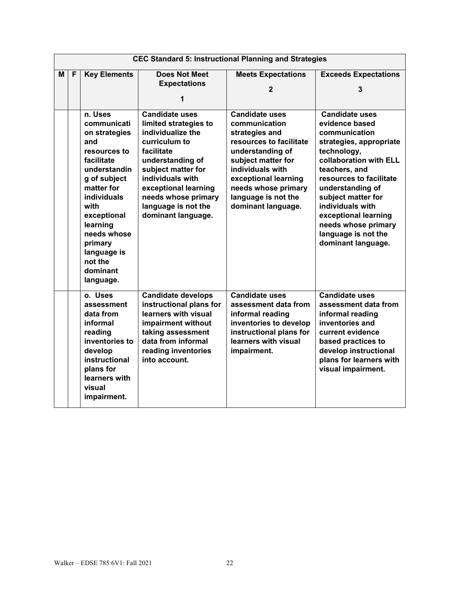|   | <b>CEC Standard 5: Instructional Planning and Strategies</b> |                                                                                                                                                                                                                                                                  |                                                                                                                                                                                                                                                              |                                                                                                                                                                                                                                               |                                                                                                                                                                                                                                                                                                                                    |  |  |
|---|--------------------------------------------------------------|------------------------------------------------------------------------------------------------------------------------------------------------------------------------------------------------------------------------------------------------------------------|--------------------------------------------------------------------------------------------------------------------------------------------------------------------------------------------------------------------------------------------------------------|-----------------------------------------------------------------------------------------------------------------------------------------------------------------------------------------------------------------------------------------------|------------------------------------------------------------------------------------------------------------------------------------------------------------------------------------------------------------------------------------------------------------------------------------------------------------------------------------|--|--|
| M | F                                                            | <b>Key Elements</b>                                                                                                                                                                                                                                              | <b>Does Not Meet</b><br><b>Expectations</b><br>1                                                                                                                                                                                                             | <b>Meets Expectations</b><br>$\mathbf{2}$                                                                                                                                                                                                     | <b>Exceeds Expectations</b><br>3                                                                                                                                                                                                                                                                                                   |  |  |
|   |                                                              | n. Uses<br>communicati<br>on strategies<br>and<br>resources to<br>facilitate<br>understandin<br>g of subject<br>matter for<br><b>individuals</b><br>with<br>exceptional<br>learning<br>needs whose<br>primary<br>language is<br>not the<br>dominant<br>language. | <b>Candidate uses</b><br>limited strategies to<br>individualize the<br>curriculum to<br>facilitate<br>understanding of<br>subject matter for<br>individuals with<br>exceptional learning<br>needs whose primary<br>language is not the<br>dominant language. | <b>Candidate uses</b><br>communication<br>strategies and<br>resources to facilitate<br>understanding of<br>subject matter for<br>individuals with<br>exceptional learning<br>needs whose primary<br>language is not the<br>dominant language. | <b>Candidate uses</b><br>evidence based<br>communication<br>strategies, appropriate<br>technology,<br>collaboration with ELL<br>teachers, and<br>resources to facilitate<br>understanding of<br>subject matter for<br>individuals with<br>exceptional learning<br>needs whose primary<br>language is not the<br>dominant language. |  |  |
|   |                                                              | o. Uses<br>assessment<br>data from<br>informal<br>reading<br>inventories to<br>develop<br>instructional<br>plans for<br>learners with<br>visual<br>impairment.                                                                                                   | <b>Candidate develops</b><br>instructional plans for<br>learners with visual<br>impairment without<br>taking assessment<br>data from informal<br>reading inventories<br>into account.                                                                        | <b>Candidate uses</b><br>assessment data from<br>informal reading<br>inventories to develop<br>instructional plans for<br>learners with visual<br>impairment.                                                                                 | <b>Candidate uses</b><br>assessment data from<br>informal reading<br>inventories and<br>current evidence<br>based practices to<br>develop instructional<br>plans for learners with<br>visual impairment.                                                                                                                           |  |  |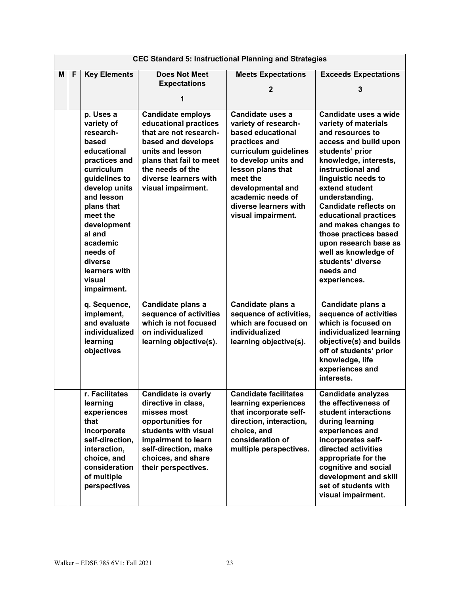|   | <b>CEC Standard 5: Instructional Planning and Strategies</b> |                                                                                                                                                                                                                                                                             |                                                                                                                                                                                                                     |                                                                                                                                                                                                                                                           |                                                                                                                                                                                                                                                                                                                                                                                                                              |  |  |
|---|--------------------------------------------------------------|-----------------------------------------------------------------------------------------------------------------------------------------------------------------------------------------------------------------------------------------------------------------------------|---------------------------------------------------------------------------------------------------------------------------------------------------------------------------------------------------------------------|-----------------------------------------------------------------------------------------------------------------------------------------------------------------------------------------------------------------------------------------------------------|------------------------------------------------------------------------------------------------------------------------------------------------------------------------------------------------------------------------------------------------------------------------------------------------------------------------------------------------------------------------------------------------------------------------------|--|--|
| м | F                                                            | <b>Key Elements</b>                                                                                                                                                                                                                                                         | <b>Does Not Meet</b><br><b>Expectations</b><br>1                                                                                                                                                                    | <b>Meets Expectations</b><br>$\mathbf{2}$                                                                                                                                                                                                                 | <b>Exceeds Expectations</b><br>3                                                                                                                                                                                                                                                                                                                                                                                             |  |  |
|   |                                                              | p. Uses a<br>variety of<br>research-<br>based<br>educational<br>practices and<br>curriculum<br>guidelines to<br>develop units<br>and lesson<br>plans that<br>meet the<br>development<br>al and<br>academic<br>needs of<br>diverse<br>learners with<br>visual<br>impairment. | <b>Candidate employs</b><br>educational practices<br>that are not research-<br>based and develops<br>units and lesson<br>plans that fail to meet<br>the needs of the<br>diverse learners with<br>visual impairment. | Candidate uses a<br>variety of research-<br>based educational<br>practices and<br>curriculum guidelines<br>to develop units and<br>lesson plans that<br>meet the<br>developmental and<br>academic needs of<br>diverse learners with<br>visual impairment. | Candidate uses a wide<br>variety of materials<br>and resources to<br>access and build upon<br>students' prior<br>knowledge, interests,<br>instructional and<br>linguistic needs to<br>extend student<br>understanding.<br>Candidate reflects on<br>educational practices<br>and makes changes to<br>those practices based<br>upon research base as<br>well as knowledge of<br>students' diverse<br>needs and<br>experiences. |  |  |
|   |                                                              | q. Sequence,<br>implement,<br>and evaluate<br>individualized<br>learning<br>objectives                                                                                                                                                                                      | Candidate plans a<br>sequence of activities<br>which is not focused<br>on individualized<br>learning objective(s).                                                                                                  | Candidate plans a<br>sequence of activities,<br>which are focused on<br>individualized<br>learning objective(s).                                                                                                                                          | Candidate plans a<br>sequence of activities<br>which is focused on<br>individualized learning<br>objective(s) and builds<br>off of students' prior<br>knowledge, life<br>experiences and<br>interests.                                                                                                                                                                                                                       |  |  |
|   |                                                              | r. Facilitates<br>learning<br>experiences<br>that<br>incorporate<br>self-direction,<br>interaction,<br>choice, and<br>consideration<br>of multiple<br>perspectives                                                                                                          | <b>Candidate is overly</b><br>directive in class,<br>misses most<br>opportunities for<br>students with visual<br>impairment to learn<br>self-direction, make<br>choices, and share<br>their perspectives.           | <b>Candidate facilitates</b><br>learning experiences<br>that incorporate self-<br>direction, interaction,<br>choice, and<br>consideration of<br>multiple perspectives.                                                                                    | <b>Candidate analyzes</b><br>the effectiveness of<br>student interactions<br>during learning<br>experiences and<br>incorporates self-<br>directed activities<br>appropriate for the<br>cognitive and social<br>development and skill<br>set of students with<br>visual impairment.                                                                                                                                           |  |  |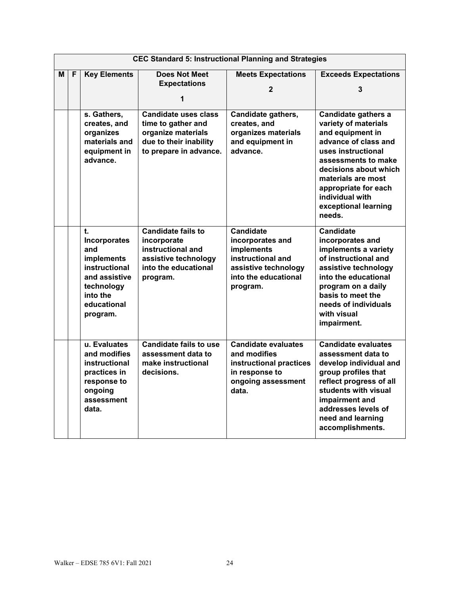|   | <b>CEC Standard 5: Instructional Planning and Strategies</b> |                                                                                                                                       |                                                                                                                             |                                                                                                                                     |                                                                                                                                                                                                                                                                  |  |  |
|---|--------------------------------------------------------------|---------------------------------------------------------------------------------------------------------------------------------------|-----------------------------------------------------------------------------------------------------------------------------|-------------------------------------------------------------------------------------------------------------------------------------|------------------------------------------------------------------------------------------------------------------------------------------------------------------------------------------------------------------------------------------------------------------|--|--|
| М | F                                                            | <b>Key Elements</b>                                                                                                                   | <b>Does Not Meet</b><br><b>Expectations</b><br>1                                                                            | <b>Meets Expectations</b><br>2                                                                                                      | <b>Exceeds Expectations</b><br>3                                                                                                                                                                                                                                 |  |  |
|   |                                                              | s. Gathers,<br>creates, and<br>organizes<br>materials and<br>equipment in<br>advance.                                                 | <b>Candidate uses class</b><br>time to gather and<br>organize materials<br>due to their inability<br>to prepare in advance. | Candidate gathers,<br>creates, and<br>organizes materials<br>and equipment in<br>advance.                                           | Candidate gathers a<br>variety of materials<br>and equipment in<br>advance of class and<br>uses instructional<br>assessments to make<br>decisions about which<br>materials are most<br>appropriate for each<br>individual with<br>exceptional learning<br>needs. |  |  |
|   |                                                              | t.<br><b>Incorporates</b><br>and<br>implements<br>instructional<br>and assistive<br>technology<br>into the<br>educational<br>program. | Candidate fails to<br>incorporate<br>instructional and<br>assistive technology<br>into the educational<br>program.          | <b>Candidate</b><br>incorporates and<br>implements<br>instructional and<br>assistive technology<br>into the educational<br>program. | <b>Candidate</b><br>incorporates and<br>implements a variety<br>of instructional and<br>assistive technology<br>into the educational<br>program on a daily<br>basis to meet the<br>needs of individuals<br>with visual<br>impairment.                            |  |  |
|   |                                                              | u. Evaluates<br>and modifies<br>instructional<br>practices in<br>response to<br>ongoing<br>assessment<br>data.                        | <b>Candidate fails to use</b><br>assessment data to<br>make instructional<br>decisions.                                     | Candidate evaluates<br>and modifies<br>instructional practices<br>in response to<br>ongoing assessment<br>data.                     | <b>Candidate evaluates</b><br>assessment data to<br>develop individual and<br>group profiles that<br>reflect progress of all<br>students with visual<br>impairment and<br>addresses levels of<br>need and learning<br>accomplishments.                           |  |  |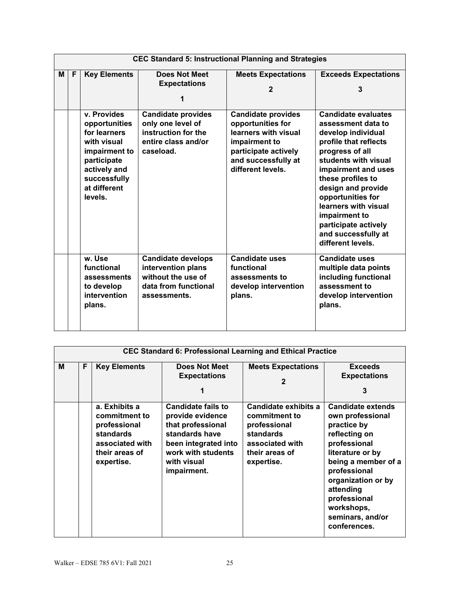|   | <b>CEC Standard 5: Instructional Planning and Strategies</b> |                                                                                                                                                        |                                                                                                               |                                                                                                                                                             |                                                                                                                                                                                                                                                                                                                                                |  |  |  |
|---|--------------------------------------------------------------|--------------------------------------------------------------------------------------------------------------------------------------------------------|---------------------------------------------------------------------------------------------------------------|-------------------------------------------------------------------------------------------------------------------------------------------------------------|------------------------------------------------------------------------------------------------------------------------------------------------------------------------------------------------------------------------------------------------------------------------------------------------------------------------------------------------|--|--|--|
| M | F                                                            | <b>Key Elements</b>                                                                                                                                    | <b>Does Not Meet</b><br><b>Expectations</b><br>1                                                              | <b>Meets Expectations</b><br>$\mathbf{2}$                                                                                                                   | <b>Exceeds Expectations</b><br>3                                                                                                                                                                                                                                                                                                               |  |  |  |
|   |                                                              | v. Provides<br>opportunities<br>for learners<br>with visual<br>impairment to<br>participate<br>actively and<br>successfully<br>at different<br>levels. | <b>Candidate provides</b><br>only one level of<br>instruction for the<br>entire class and/or<br>caseload.     | <b>Candidate provides</b><br>opportunities for<br>learners with visual<br>impairment to<br>participate actively<br>and successfully at<br>different levels. | <b>Candidate evaluates</b><br>assessment data to<br>develop individual<br>profile that reflects<br>progress of all<br>students with visual<br>impairment and uses<br>these profiles to<br>design and provide<br>opportunities for<br>learners with visual<br>impairment to<br>participate actively<br>and successfully at<br>different levels. |  |  |  |
|   |                                                              | w. Use<br>functional<br>assessments<br>to develop<br>intervention<br>plans.                                                                            | <b>Candidate develops</b><br>intervention plans<br>without the use of<br>data from functional<br>assessments. | <b>Candidate uses</b><br>functional<br>assessments to<br>develop intervention<br>plans.                                                                     | <b>Candidate uses</b><br>multiple data points<br>including functional<br>assessment to<br>develop intervention<br>plans.                                                                                                                                                                                                                       |  |  |  |

|   | <b>CEC Standard 6: Professional Learning and Ethical Practice</b> |                                                                                                                |                                                                                                                                                                  |                                                                                                                       |                                                                                                                                                                                                                                                              |  |  |  |
|---|-------------------------------------------------------------------|----------------------------------------------------------------------------------------------------------------|------------------------------------------------------------------------------------------------------------------------------------------------------------------|-----------------------------------------------------------------------------------------------------------------------|--------------------------------------------------------------------------------------------------------------------------------------------------------------------------------------------------------------------------------------------------------------|--|--|--|
| M | F                                                                 | <b>Key Elements</b>                                                                                            | Does Not Meet<br><b>Expectations</b><br>1                                                                                                                        | <b>Meets Expectations</b><br>$\mathbf 2$                                                                              | <b>Exceeds</b><br><b>Expectations</b><br>3                                                                                                                                                                                                                   |  |  |  |
|   |                                                                   | a. Exhibits a<br>commitment to<br>professional<br>standards<br>associated with<br>their areas of<br>expertise. | <b>Candidate fails to</b><br>provide evidence<br>that professional<br>standards have<br>been integrated into<br>work with students<br>with visual<br>impairment. | Candidate exhibits a<br>commitment to<br>professional<br>standards<br>associated with<br>their areas of<br>expertise. | <b>Candidate extends</b><br>own professional<br>practice by<br>reflecting on<br>professional<br>literature or by<br>being a member of a<br>professional<br>organization or by<br>attending<br>professional<br>workshops,<br>seminars, and/or<br>conferences. |  |  |  |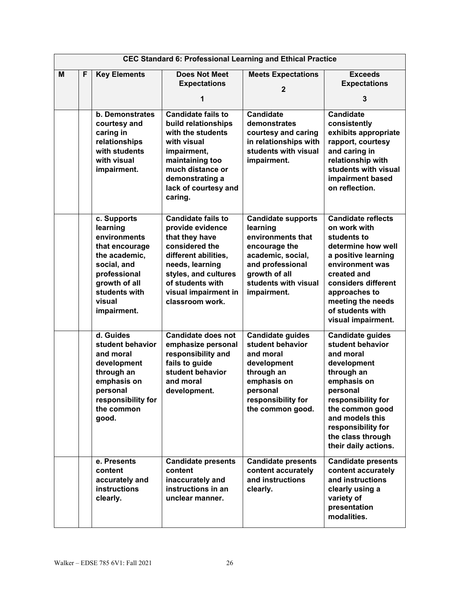|   | <b>CEC Standard 6: Professional Learning and Ethical Practice</b> |                                                                                                                                                                      |                                                                                                                                                                                                                     |                                                                                                                                                                              |                                                                                                                                                                                                                                                 |  |  |
|---|-------------------------------------------------------------------|----------------------------------------------------------------------------------------------------------------------------------------------------------------------|---------------------------------------------------------------------------------------------------------------------------------------------------------------------------------------------------------------------|------------------------------------------------------------------------------------------------------------------------------------------------------------------------------|-------------------------------------------------------------------------------------------------------------------------------------------------------------------------------------------------------------------------------------------------|--|--|
| M | F                                                                 | <b>Key Elements</b>                                                                                                                                                  | <b>Does Not Meet</b><br><b>Expectations</b><br>1                                                                                                                                                                    | <b>Meets Expectations</b><br>$\overline{2}$                                                                                                                                  | <b>Exceeds</b><br><b>Expectations</b><br>3                                                                                                                                                                                                      |  |  |
|   |                                                                   | <b>b.</b> Demonstrates<br>courtesy and<br>caring in<br>relationships<br>with students<br>with visual<br>impairment.                                                  | <b>Candidate fails to</b><br>build relationships<br>with the students<br>with visual<br>impairment,<br>maintaining too<br>much distance or<br>demonstrating a<br>lack of courtesy and<br>caring.                    | <b>Candidate</b><br>demonstrates<br>courtesy and caring<br>in relationships with<br>students with visual<br>impairment.                                                      | <b>Candidate</b><br>consistently<br>exhibits appropriate<br>rapport, courtesy<br>and caring in<br>relationship with<br>students with visual<br>impairment based<br>on reflection.                                                               |  |  |
|   |                                                                   | c. Supports<br>learning<br>environments<br>that encourage<br>the academic,<br>social, and<br>professional<br>growth of all<br>students with<br>visual<br>impairment. | <b>Candidate fails to</b><br>provide evidence<br>that they have<br>considered the<br>different abilities,<br>needs, learning<br>styles, and cultures<br>of students with<br>visual impairment in<br>classroom work. | <b>Candidate supports</b><br>learning<br>environments that<br>encourage the<br>academic, social,<br>and professional<br>growth of all<br>students with visual<br>impairment. | <b>Candidate reflects</b><br>on work with<br>students to<br>determine how well<br>a positive learning<br>environment was<br>created and<br>considers different<br>approaches to<br>meeting the needs<br>of students with<br>visual impairment.  |  |  |
|   |                                                                   | d. Guides<br>student behavior<br>and moral<br>development<br>through an<br>emphasis on<br>personal<br>responsibility for<br>the common<br>good.                      | Candidate does not<br>emphasize personal<br>responsibility and<br>fails to guide<br>student behavior<br>and moral<br>development.                                                                                   | <b>Candidate guides</b><br>student behavior<br>and moral<br>development<br>through an<br>emphasis on<br>personal<br>responsibility for<br>the common good.                   | <b>Candidate guides</b><br>student behavior<br>and moral<br>development<br>through an<br>emphasis on<br>personal<br>responsibility for<br>the common good<br>and models this<br>responsibility for<br>the class through<br>their daily actions. |  |  |
|   |                                                                   | e. Presents<br>content<br>accurately and<br><b>instructions</b><br>clearly.                                                                                          | <b>Candidate presents</b><br>content<br>inaccurately and<br>instructions in an<br>unclear manner.                                                                                                                   | <b>Candidate presents</b><br>content accurately<br>and instructions<br>clearly.                                                                                              | <b>Candidate presents</b><br>content accurately<br>and instructions<br>clearly using a<br>variety of<br>presentation<br>modalities.                                                                                                             |  |  |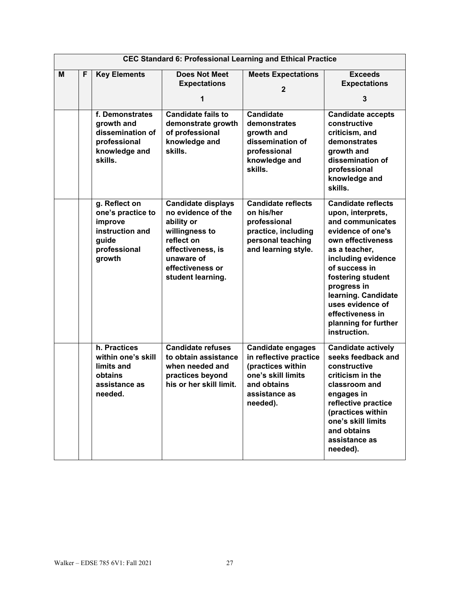|   | <b>CEC Standard 6: Professional Learning and Ethical Practice</b> |                                                                                                     |                                                                                                                                                                           |                                                                                                                                           |                                                                                                                                                                                                                                                                                                                 |  |  |
|---|-------------------------------------------------------------------|-----------------------------------------------------------------------------------------------------|---------------------------------------------------------------------------------------------------------------------------------------------------------------------------|-------------------------------------------------------------------------------------------------------------------------------------------|-----------------------------------------------------------------------------------------------------------------------------------------------------------------------------------------------------------------------------------------------------------------------------------------------------------------|--|--|
| м | F                                                                 | <b>Key Elements</b>                                                                                 | <b>Does Not Meet</b><br><b>Expectations</b><br>1                                                                                                                          | <b>Meets Expectations</b><br>$\overline{2}$                                                                                               | <b>Exceeds</b><br><b>Expectations</b><br>3                                                                                                                                                                                                                                                                      |  |  |
|   |                                                                   | f. Demonstrates<br>growth and<br>dissemination of<br>professional<br>knowledge and<br>skills.       | <b>Candidate fails to</b><br>demonstrate growth<br>of professional<br>knowledge and<br>skills.                                                                            | <b>Candidate</b><br>demonstrates<br>growth and<br>dissemination of<br>professional<br>knowledge and<br>skills.                            | <b>Candidate accepts</b><br>constructive<br>criticism, and<br>demonstrates<br>growth and<br>dissemination of<br>professional<br>knowledge and<br>skills.                                                                                                                                                        |  |  |
|   |                                                                   | g. Reflect on<br>one's practice to<br>improve<br>instruction and<br>guide<br>professional<br>growth | <b>Candidate displays</b><br>no evidence of the<br>ability or<br>willingness to<br>reflect on<br>effectiveness, is<br>unaware of<br>effectiveness or<br>student learning. | <b>Candidate reflects</b><br>on his/her<br>professional<br>practice, including<br>personal teaching<br>and learning style.                | <b>Candidate reflects</b><br>upon, interprets,<br>and communicates<br>evidence of one's<br>own effectiveness<br>as a teacher,<br>including evidence<br>of success in<br>fostering student<br>progress in<br>learning. Candidate<br>uses evidence of<br>effectiveness in<br>planning for further<br>instruction. |  |  |
|   |                                                                   | h. Practices<br>within one's skill<br>limits and<br>obtains<br>assistance as<br>needed.             | <b>Candidate refuses</b><br>to obtain assistance<br>when needed and<br>practices beyond<br>his or her skill limit.                                                        | <b>Candidate engages</b><br>in reflective practice<br>(practices within<br>one's skill limits<br>and obtains<br>assistance as<br>needed). | <b>Candidate actively</b><br>seeks feedback and<br>constructive<br>criticism in the<br>classroom and<br>engages in<br>reflective practice<br>(practices within<br>one's skill limits<br>and obtains<br>assistance as<br>needed).                                                                                |  |  |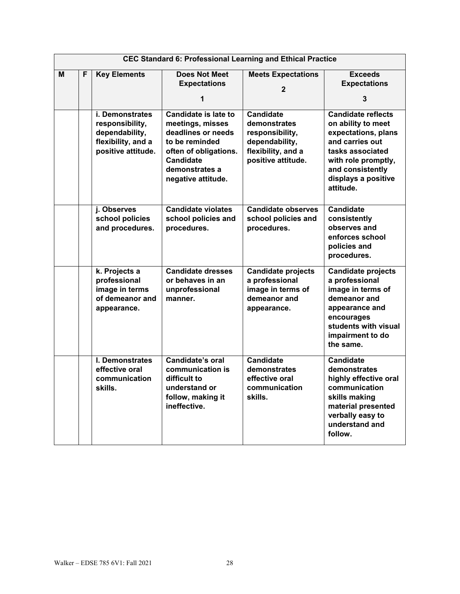|   | <b>CEC Standard 6: Professional Learning and Ethical Practice</b> |                                                                                                  |                                                                                                                                                                              |                                                                                                                   |                                                                                                                                                                                              |  |  |
|---|-------------------------------------------------------------------|--------------------------------------------------------------------------------------------------|------------------------------------------------------------------------------------------------------------------------------------------------------------------------------|-------------------------------------------------------------------------------------------------------------------|----------------------------------------------------------------------------------------------------------------------------------------------------------------------------------------------|--|--|
| M | F                                                                 | <b>Key Elements</b>                                                                              | <b>Does Not Meet</b><br><b>Expectations</b><br>1                                                                                                                             | <b>Meets Expectations</b><br>$\mathbf{2}$                                                                         | <b>Exceeds</b><br><b>Expectations</b><br>3                                                                                                                                                   |  |  |
|   |                                                                   | i. Demonstrates<br>responsibility,<br>dependability,<br>flexibility, and a<br>positive attitude. | <b>Candidate is late to</b><br>meetings, misses<br>deadlines or needs<br>to be reminded<br>often of obligations.<br><b>Candidate</b><br>demonstrates a<br>negative attitude. | <b>Candidate</b><br>demonstrates<br>responsibility.<br>dependability,<br>flexibility, and a<br>positive attitude. | <b>Candidate reflects</b><br>on ability to meet<br>expectations, plans<br>and carries out<br>tasks associated<br>with role promptly,<br>and consistently<br>displays a positive<br>attitude. |  |  |
|   |                                                                   | j. Observes<br>school policies<br>and procedures.                                                | <b>Candidate violates</b><br>school policies and<br>procedures.                                                                                                              | <b>Candidate observes</b><br>school policies and<br>procedures.                                                   | <b>Candidate</b><br>consistently<br>observes and<br>enforces school<br>policies and<br>procedures.                                                                                           |  |  |
|   |                                                                   | k. Projects a<br>professional<br>image in terms<br>of demeanor and<br>appearance.                | <b>Candidate dresses</b><br>or behaves in an<br>unprofessional<br>manner.                                                                                                    | <b>Candidate projects</b><br>a professional<br>image in terms of<br>demeanor and<br>appearance.                   | <b>Candidate projects</b><br>a professional<br>image in terms of<br>demeanor and<br>appearance and<br>encourages<br>students with visual<br>impairment to do<br>the same.                    |  |  |
|   |                                                                   | I. Demonstrates<br>effective oral<br>communication<br>skills.                                    | Candidate's oral<br>communication is<br>difficult to<br>understand or<br>follow, making it<br>ineffective.                                                                   | <b>Candidate</b><br>demonstrates<br>effective oral<br>communication<br>skills.                                    | Candidate<br>demonstrates<br>highly effective oral<br>communication<br>skills making<br>material presented<br>verbally easy to<br>understand and<br>follow.                                  |  |  |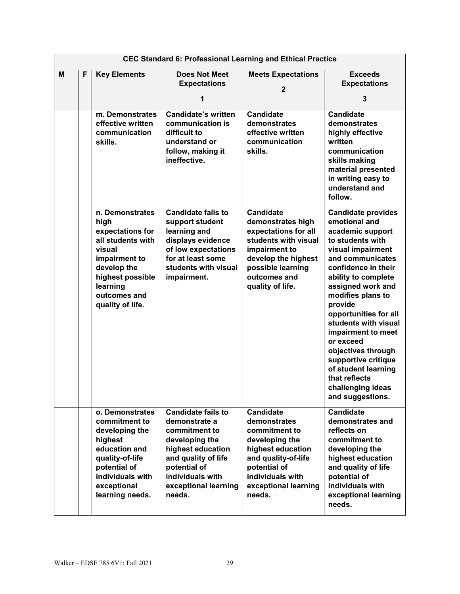|   | <b>CEC Standard 6: Professional Learning and Ethical Practice</b> |                                                                                                                                                                                |                                                                                                                                                                                                 |                                                                                                                                                                                        |                                                                                                                                                                                                                                                                                                                                                                                                                                                  |  |  |
|---|-------------------------------------------------------------------|--------------------------------------------------------------------------------------------------------------------------------------------------------------------------------|-------------------------------------------------------------------------------------------------------------------------------------------------------------------------------------------------|----------------------------------------------------------------------------------------------------------------------------------------------------------------------------------------|--------------------------------------------------------------------------------------------------------------------------------------------------------------------------------------------------------------------------------------------------------------------------------------------------------------------------------------------------------------------------------------------------------------------------------------------------|--|--|
| M | F                                                                 | <b>Key Elements</b>                                                                                                                                                            | <b>Does Not Meet</b><br><b>Expectations</b><br>1                                                                                                                                                | <b>Meets Expectations</b><br>$\overline{2}$                                                                                                                                            | <b>Exceeds</b><br><b>Expectations</b><br>3                                                                                                                                                                                                                                                                                                                                                                                                       |  |  |
|   |                                                                   | m. Demonstrates<br>effective written<br>communication<br>skills.                                                                                                               | <b>Candidate's written</b><br>communication is<br>difficult to<br>understand or<br>follow, making it<br>ineffective.                                                                            | <b>Candidate</b><br>demonstrates<br>effective written<br>communication<br>skills.                                                                                                      | <b>Candidate</b><br>demonstrates<br>highly effective<br>written<br>communication<br>skills making<br>material presented<br>in writing easy to<br>understand and<br>follow.                                                                                                                                                                                                                                                                       |  |  |
|   |                                                                   | n. Demonstrates<br>high<br>expectations for<br>all students with<br>visual<br>impairment to<br>develop the<br>highest possible<br>learning<br>outcomes and<br>quality of life. | <b>Candidate fails to</b><br>support student<br>learning and<br>displays evidence<br>of low expectations<br>for at least some<br>students with visual<br>impairment.                            | <b>Candidate</b><br>demonstrates high<br>expectations for all<br>students with visual<br>impairment to<br>develop the highest<br>possible learning<br>outcomes and<br>quality of life. | <b>Candidate provides</b><br>emotional and<br>academic support<br>to students with<br>visual impairment<br>and communicates<br>confidence in their<br>ability to complete<br>assigned work and<br>modifies plans to<br>provide<br>opportunities for all<br>students with visual<br>impairment to meet<br>or exceed<br>objectives through<br>supportive critique<br>of student learning<br>that reflects<br>challenging ideas<br>and suggestions. |  |  |
|   |                                                                   | o. Demonstrates<br>commitment to<br>developing the<br>highest<br>education and<br>quality-of-life<br>potential of<br>individuals with<br>exceptional<br>learning needs.        | <b>Candidate fails to</b><br>demonstrate a<br>commitment to<br>developing the<br>highest education<br>and quality of life<br>potential of<br>individuals with<br>exceptional learning<br>needs. | <b>Candidate</b><br>demonstrates<br>commitment to<br>developing the<br>highest education<br>and quality-of-life<br>potential of<br>individuals with<br>exceptional learning<br>needs.  | <b>Candidate</b><br>demonstrates and<br>reflects on<br>commitment to<br>developing the<br>highest education<br>and quality of life<br>potential of<br>individuals with<br>exceptional learning<br>needs.                                                                                                                                                                                                                                         |  |  |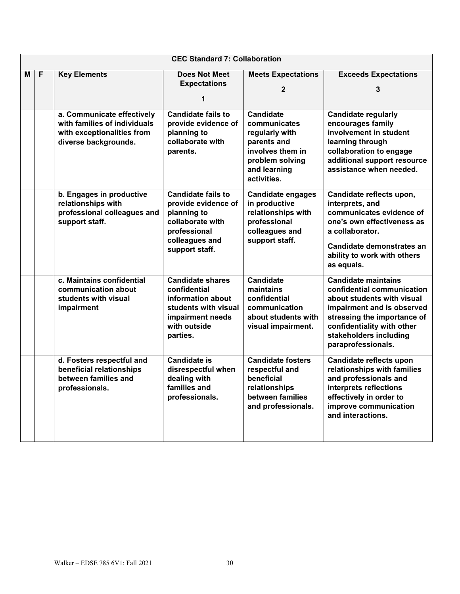|   | <b>CEC Standard 7: Collaboration</b> |                                                                                                                  |                                                                                                                                         |                                                                                                                                         |                                                                                                                                                                                                                                   |  |  |
|---|--------------------------------------|------------------------------------------------------------------------------------------------------------------|-----------------------------------------------------------------------------------------------------------------------------------------|-----------------------------------------------------------------------------------------------------------------------------------------|-----------------------------------------------------------------------------------------------------------------------------------------------------------------------------------------------------------------------------------|--|--|
| М | $\overline{F}$                       | <b>Key Elements</b>                                                                                              | <b>Does Not Meet</b><br><b>Expectations</b><br>1                                                                                        | <b>Meets Expectations</b><br>$\mathbf{2}$                                                                                               | <b>Exceeds Expectations</b><br>3                                                                                                                                                                                                  |  |  |
|   |                                      | a. Communicate effectively<br>with families of individuals<br>with exceptionalities from<br>diverse backgrounds. | <b>Candidate fails to</b><br>provide evidence of<br>planning to<br>collaborate with<br>parents.                                         | <b>Candidate</b><br>communicates<br>regularly with<br>parents and<br>involves them in<br>problem solving<br>and learning<br>activities. | <b>Candidate regularly</b><br>encourages family<br>involvement in student<br>learning through<br>collaboration to engage<br>additional support resource<br>assistance when needed.                                                |  |  |
|   |                                      | b. Engages in productive<br>relationships with<br>professional colleagues and<br>support staff.                  | <b>Candidate fails to</b><br>provide evidence of<br>planning to<br>collaborate with<br>professional<br>colleagues and<br>support staff. | <b>Candidate engages</b><br>in productive<br>relationships with<br>professional<br>colleagues and<br>support staff.                     | Candidate reflects upon,<br>interprets, and<br>communicates evidence of<br>one's own effectiveness as<br>a collaborator.<br>Candidate demonstrates an<br>ability to work with others<br>as equals.                                |  |  |
|   |                                      | c. Maintains confidential<br>communication about<br>students with visual<br>impairment                           | <b>Candidate shares</b><br>confidential<br>information about<br>students with visual<br>impairment needs<br>with outside<br>parties.    | <b>Candidate</b><br>maintains<br>confidential<br>communication<br>about students with<br>visual impairment.                             | <b>Candidate maintains</b><br>confidential communication<br>about students with visual<br>impairment and is observed<br>stressing the importance of<br>confidentiality with other<br>stakeholders including<br>paraprofessionals. |  |  |
|   |                                      | d. Fosters respectful and<br>beneficial relationships<br>between families and<br>professionals.                  | <b>Candidate is</b><br>disrespectful when<br>dealing with<br>families and<br>professionals.                                             | <b>Candidate fosters</b><br>respectful and<br>beneficial<br>relationships<br>between families<br>and professionals.                     | Candidate reflects upon<br>relationships with families<br>and professionals and<br>interprets reflections<br>effectively in order to<br>improve communication<br>and interactions.                                                |  |  |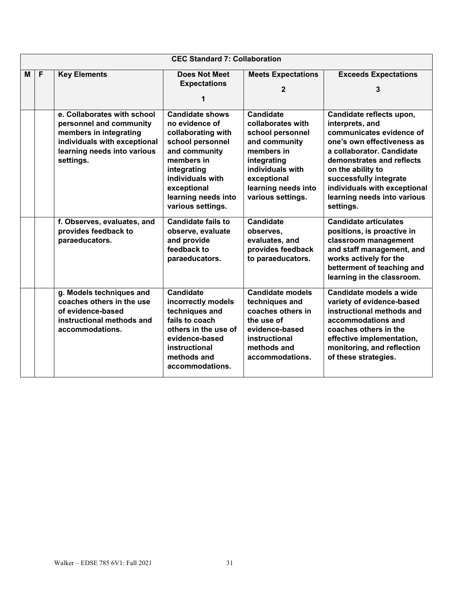|   | <b>CEC Standard 7: Collaboration</b> |                                                                                                                                                              |                                                                                                                                                                                                                 |                                                                                                                                                                                        |                                                                                                                                                                                                                                                                                            |  |  |  |
|---|--------------------------------------|--------------------------------------------------------------------------------------------------------------------------------------------------------------|-----------------------------------------------------------------------------------------------------------------------------------------------------------------------------------------------------------------|----------------------------------------------------------------------------------------------------------------------------------------------------------------------------------------|--------------------------------------------------------------------------------------------------------------------------------------------------------------------------------------------------------------------------------------------------------------------------------------------|--|--|--|
| M | $\mathsf{F}$                         | <b>Key Elements</b>                                                                                                                                          | <b>Does Not Meet</b><br><b>Expectations</b><br>1                                                                                                                                                                | <b>Meets Expectations</b><br>$\overline{2}$                                                                                                                                            | <b>Exceeds Expectations</b><br>3                                                                                                                                                                                                                                                           |  |  |  |
|   |                                      | e. Collaborates with school<br>personnel and community<br>members in integrating<br>individuals with exceptional<br>learning needs into various<br>settings. | <b>Candidate shows</b><br>no evidence of<br>collaborating with<br>school personnel<br>and community<br>members in<br>integrating<br>individuals with<br>exceptional<br>learning needs into<br>various settings. | <b>Candidate</b><br>collaborates with<br>school personnel<br>and community<br>members in<br>integrating<br>individuals with<br>exceptional<br>learning needs into<br>various settings. | Candidate reflects upon,<br>interprets, and<br>communicates evidence of<br>one's own effectiveness as<br>a collaborator. Candidate<br>demonstrates and reflects<br>on the ability to<br>successfully integrate<br>individuals with exceptional<br>learning needs into various<br>settings. |  |  |  |
|   |                                      | f. Observes, evaluates, and<br>provides feedback to<br>paraeducators.                                                                                        | <b>Candidate fails to</b><br>observe, evaluate<br>and provide<br>feedback to<br>paraeducators.                                                                                                                  | <b>Candidate</b><br>observes,<br>evaluates, and<br>provides feedback<br>to paraeducators.                                                                                              | <b>Candidate articulates</b><br>positions, is proactive in<br>classroom management<br>and staff management, and<br>works actively for the<br>betterment of teaching and<br>learning in the classroom.                                                                                      |  |  |  |
|   |                                      | g. Models techniques and<br>coaches others in the use<br>of evidence-based<br>instructional methods and<br>accommodations.                                   | <b>Candidate</b><br>incorrectly models<br>techniques and<br>fails to coach<br>others in the use of<br>evidence-based<br>instructional<br>methods and<br>accommodations.                                         | <b>Candidate models</b><br>techniques and<br>coaches others in<br>the use of<br>evidence-based<br>instructional<br>methods and<br>accommodations.                                      | Candidate models a wide<br>variety of evidence-based<br>instructional methods and<br>accommodations and<br>coaches others in the<br>effective implementation,<br>monitoring, and reflection<br>of these strategies.                                                                        |  |  |  |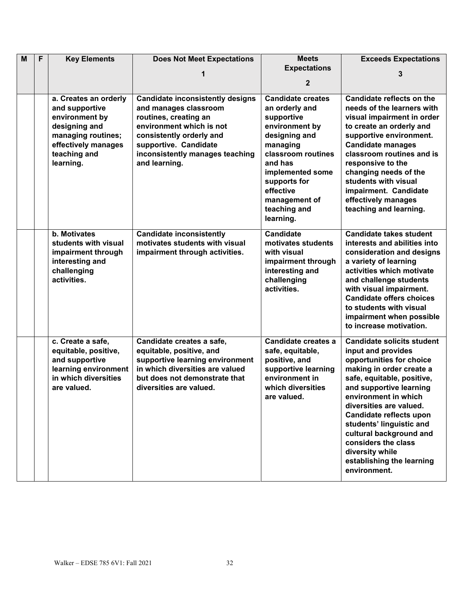| M | $\overline{F}$ | <b>Key Elements</b>                                                                                                                                  | <b>Does Not Meet Expectations</b>                                                                                                                                                                                              | <b>Meets</b>                                                                                                                                                                                                                            | <b>Exceeds Expectations</b>                                                                                                                                                                                                                                                                                                                                                                          |
|---|----------------|------------------------------------------------------------------------------------------------------------------------------------------------------|--------------------------------------------------------------------------------------------------------------------------------------------------------------------------------------------------------------------------------|-----------------------------------------------------------------------------------------------------------------------------------------------------------------------------------------------------------------------------------------|------------------------------------------------------------------------------------------------------------------------------------------------------------------------------------------------------------------------------------------------------------------------------------------------------------------------------------------------------------------------------------------------------|
|   |                |                                                                                                                                                      | 1                                                                                                                                                                                                                              | <b>Expectations</b>                                                                                                                                                                                                                     | 3                                                                                                                                                                                                                                                                                                                                                                                                    |
|   |                |                                                                                                                                                      |                                                                                                                                                                                                                                | $\mathbf{2}$                                                                                                                                                                                                                            |                                                                                                                                                                                                                                                                                                                                                                                                      |
|   |                | a. Creates an orderly<br>and supportive<br>environment by<br>designing and<br>managing routines;<br>effectively manages<br>teaching and<br>learning. | <b>Candidate inconsistently designs</b><br>and manages classroom<br>routines, creating an<br>environment which is not<br>consistently orderly and<br>supportive. Candidate<br>inconsistently manages teaching<br>and learning. | <b>Candidate creates</b><br>an orderly and<br>supportive<br>environment by<br>designing and<br>managing<br>classroom routines<br>and has<br>implemented some<br>supports for<br>effective<br>management of<br>teaching and<br>learning. | Candidate reflects on the<br>needs of the learners with<br>visual impairment in order<br>to create an orderly and<br>supportive environment.<br><b>Candidate manages</b><br>classroom routines and is<br>responsive to the<br>changing needs of the<br>students with visual<br>impairment. Candidate<br>effectively manages<br>teaching and learning.                                                |
|   |                | b. Motivates<br>students with visual<br>impairment through<br>interesting and<br>challenging<br>activities.                                          | <b>Candidate inconsistently</b><br>motivates students with visual<br>impairment through activities.                                                                                                                            | <b>Candidate</b><br>motivates students<br>with visual<br>impairment through<br>interesting and<br>challenging<br>activities.                                                                                                            | <b>Candidate takes student</b><br>interests and abilities into<br>consideration and designs<br>a variety of learning<br>activities which motivate<br>and challenge students<br>with visual impairment.<br><b>Candidate offers choices</b><br>to students with visual<br>impairment when possible<br>to increase motivation.                                                                          |
|   |                | c. Create a safe,<br>equitable, positive,<br>and supportive<br>learning environment<br>in which diversities<br>are valued.                           | Candidate creates a safe,<br>equitable, positive, and<br>supportive learning environment<br>in which diversities are valued<br>but does not demonstrate that<br>diversities are valued.                                        | Candidate creates a<br>safe, equitable,<br>positive, and<br>supportive learning<br>environment in<br>which diversities<br>are valued.                                                                                                   | <b>Candidate solicits student</b><br>input and provides<br>opportunities for choice<br>making in order create a<br>safe, equitable, positive,<br>and supportive learning<br>environment in which<br>diversities are valued.<br>Candidate reflects upon<br>students' linguistic and<br>cultural background and<br>considers the class<br>diversity while<br>establishing the learning<br>environment. |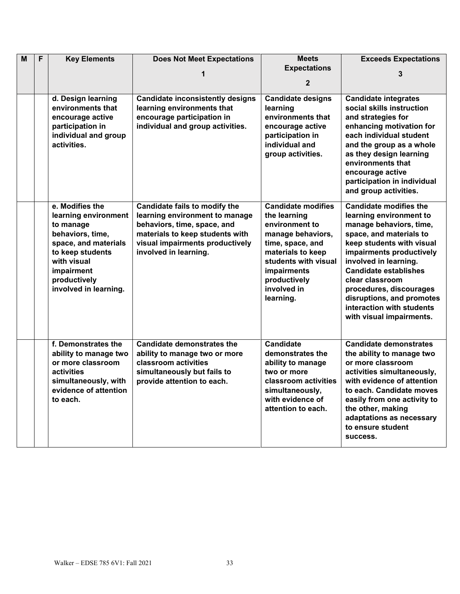| M | F | <b>Key Elements</b>                          | <b>Does Not Meet Expectations</b>                                  | <b>Meets</b>                          | <b>Exceeds Expectations</b>                                |
|---|---|----------------------------------------------|--------------------------------------------------------------------|---------------------------------------|------------------------------------------------------------|
|   |   |                                              |                                                                    | <b>Expectations</b>                   | 3                                                          |
|   |   |                                              |                                                                    | $\mathbf{2}$                          |                                                            |
|   |   |                                              |                                                                    |                                       |                                                            |
|   |   | d. Design learning                           | <b>Candidate inconsistently designs</b>                            | <b>Candidate designs</b>              | <b>Candidate integrates</b>                                |
|   |   | environments that                            | learning environments that                                         | learning                              | social skills instruction                                  |
|   |   | encourage active                             | encourage participation in                                         | environments that                     | and strategies for                                         |
|   |   | participation in                             | individual and group activities.                                   | encourage active                      | enhancing motivation for                                   |
|   |   | individual and group                         |                                                                    | participation in                      | each individual student                                    |
|   |   | activities.                                  |                                                                    | individual and                        | and the group as a whole                                   |
|   |   |                                              |                                                                    | group activities.                     | as they design learning<br>environments that               |
|   |   |                                              |                                                                    |                                       | encourage active                                           |
|   |   |                                              |                                                                    |                                       | participation in individual                                |
|   |   |                                              |                                                                    |                                       | and group activities.                                      |
|   |   |                                              |                                                                    |                                       |                                                            |
|   |   | e. Modifies the                              | Candidate fails to modify the                                      | <b>Candidate modifies</b>             | <b>Candidate modifies the</b>                              |
|   |   | learning environment                         | learning environment to manage                                     | the learning                          | learning environment to                                    |
|   |   | to manage                                    | behaviors, time, space, and                                        | environment to                        | manage behaviors, time,                                    |
|   |   | behaviors, time,                             | materials to keep students with                                    | manage behaviors,                     | space, and materials to                                    |
|   |   | space, and materials<br>to keep students     | visual impairments productively<br>involved in learning.           | time, space, and<br>materials to keep | keep students with visual<br>impairments productively      |
|   |   | with visual                                  |                                                                    | students with visual                  | involved in learning.                                      |
|   |   | impairment                                   |                                                                    | impairments                           | <b>Candidate establishes</b>                               |
|   |   | productively                                 |                                                                    | productively                          | clear classroom                                            |
|   |   | involved in learning.                        |                                                                    | involved in                           | procedures, discourages                                    |
|   |   |                                              |                                                                    | learning.                             | disruptions, and promotes                                  |
|   |   |                                              |                                                                    |                                       | interaction with students                                  |
|   |   |                                              |                                                                    |                                       | with visual impairments.                                   |
|   |   |                                              |                                                                    |                                       |                                                            |
|   |   |                                              |                                                                    |                                       |                                                            |
|   |   | f. Demonstrates the<br>ability to manage two | <b>Candidate demonstrates the</b><br>ability to manage two or more | <b>Candidate</b><br>demonstrates the  | <b>Candidate demonstrates</b><br>the ability to manage two |
|   |   | or more classroom                            | classroom activities                                               | ability to manage                     | or more classroom                                          |
|   |   | activities                                   | simultaneously but fails to                                        | two or more                           | activities simultaneously,                                 |
|   |   | simultaneously, with                         | provide attention to each.                                         | classroom activities                  | with evidence of attention                                 |
|   |   | evidence of attention                        |                                                                    | simultaneously,                       | to each. Candidate moves                                   |
|   |   | to each.                                     |                                                                    | with evidence of                      | easily from one activity to                                |
|   |   |                                              |                                                                    | attention to each.                    | the other, making                                          |
|   |   |                                              |                                                                    |                                       | adaptations as necessary                                   |
|   |   |                                              |                                                                    |                                       | to ensure student                                          |
|   |   |                                              |                                                                    |                                       | success.                                                   |
|   |   |                                              |                                                                    |                                       |                                                            |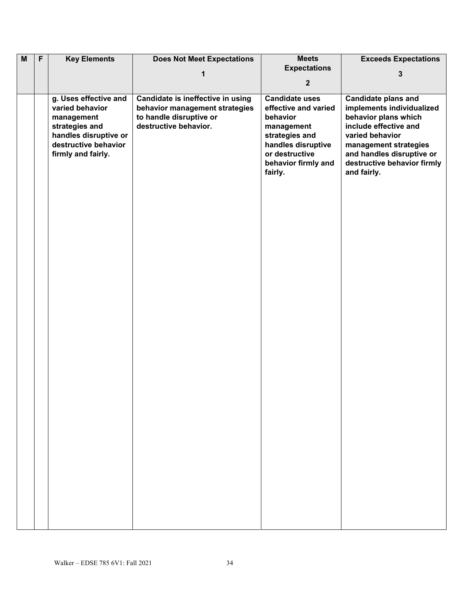| $\overline{M}$ | $\overline{F}$ | <b>Key Elements</b>   | <b>Does Not Meet Expectations</b> | <b>Meets</b>          | <b>Exceeds Expectations</b> |
|----------------|----------------|-----------------------|-----------------------------------|-----------------------|-----------------------------|
|                |                |                       |                                   | <b>Expectations</b>   |                             |
|                |                |                       | 1                                 |                       | 3                           |
|                |                |                       |                                   | $\mathbf{2}$          |                             |
|                |                | g. Uses effective and | Candidate is ineffective in using | <b>Candidate uses</b> | <b>Candidate plans and</b>  |
|                |                | varied behavior       | behavior management strategies    | effective and varied  | implements individualized   |
|                |                | management            | to handle disruptive or           | behavior              | behavior plans which        |
|                |                | strategies and        | destructive behavior.             | management            | include effective and       |
|                |                | handles disruptive or |                                   | strategies and        | varied behavior             |
|                |                | destructive behavior  |                                   | handles disruptive    | management strategies       |
|                |                | firmly and fairly.    |                                   | or destructive        | and handles disruptive or   |
|                |                |                       |                                   | behavior firmly and   | destructive behavior firmly |
|                |                |                       |                                   | fairly.               | and fairly.                 |
|                |                |                       |                                   |                       |                             |
|                |                |                       |                                   |                       |                             |
|                |                |                       |                                   |                       |                             |
|                |                |                       |                                   |                       |                             |
|                |                |                       |                                   |                       |                             |
|                |                |                       |                                   |                       |                             |
|                |                |                       |                                   |                       |                             |
|                |                |                       |                                   |                       |                             |
|                |                |                       |                                   |                       |                             |
|                |                |                       |                                   |                       |                             |
|                |                |                       |                                   |                       |                             |
|                |                |                       |                                   |                       |                             |
|                |                |                       |                                   |                       |                             |
|                |                |                       |                                   |                       |                             |
|                |                |                       |                                   |                       |                             |
|                |                |                       |                                   |                       |                             |
|                |                |                       |                                   |                       |                             |
|                |                |                       |                                   |                       |                             |
|                |                |                       |                                   |                       |                             |
|                |                |                       |                                   |                       |                             |
|                |                |                       |                                   |                       |                             |
|                |                |                       |                                   |                       |                             |
|                |                |                       |                                   |                       |                             |
|                |                |                       |                                   |                       |                             |
|                |                |                       |                                   |                       |                             |
|                |                |                       |                                   |                       |                             |
|                |                |                       |                                   |                       |                             |
|                |                |                       |                                   |                       |                             |
|                |                |                       |                                   |                       |                             |
|                |                |                       |                                   |                       |                             |
|                |                |                       |                                   |                       |                             |
|                |                |                       |                                   |                       |                             |
|                |                |                       |                                   |                       |                             |
|                |                |                       |                                   |                       |                             |
|                |                |                       |                                   |                       |                             |
|                |                |                       |                                   |                       |                             |
|                |                |                       |                                   |                       |                             |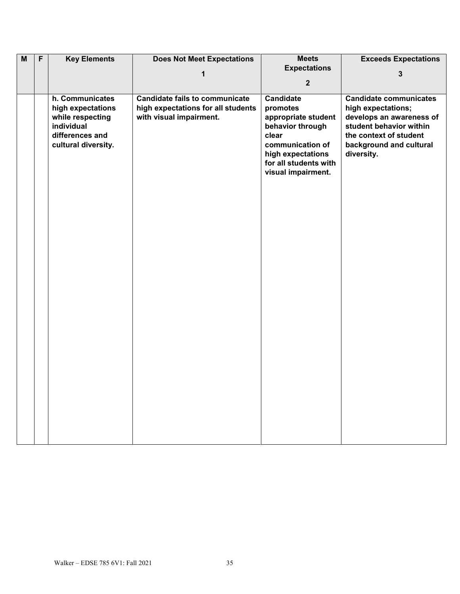| $\overline{\mathsf{M}}$ | $\overline{F}$ | <b>Key Elements</b>                                                                                              | <b>Does Not Meet Expectations</b>                                                                           | <b>Meets</b>                                                                                                                                                                                    | <b>Exceeds Expectations</b>                                                                                                                                                                   |
|-------------------------|----------------|------------------------------------------------------------------------------------------------------------------|-------------------------------------------------------------------------------------------------------------|-------------------------------------------------------------------------------------------------------------------------------------------------------------------------------------------------|-----------------------------------------------------------------------------------------------------------------------------------------------------------------------------------------------|
|                         |                |                                                                                                                  |                                                                                                             |                                                                                                                                                                                                 |                                                                                                                                                                                               |
|                         |                |                                                                                                                  |                                                                                                             | $\overline{2}$                                                                                                                                                                                  |                                                                                                                                                                                               |
|                         |                | h. Communicates<br>high expectations<br>while respecting<br>individual<br>differences and<br>cultural diversity. | 1<br><b>Candidate fails to communicate</b><br>high expectations for all students<br>with visual impairment. | <b>Expectations</b><br><b>Candidate</b><br>promotes<br>appropriate student<br>behavior through<br>clear<br>communication of<br>high expectations<br>for all students with<br>visual impairment. | $\mathbf{3}$<br><b>Candidate communicates</b><br>high expectations;<br>develops an awareness of<br>student behavior within<br>the context of student<br>background and cultural<br>diversity. |
|                         |                |                                                                                                                  |                                                                                                             |                                                                                                                                                                                                 |                                                                                                                                                                                               |